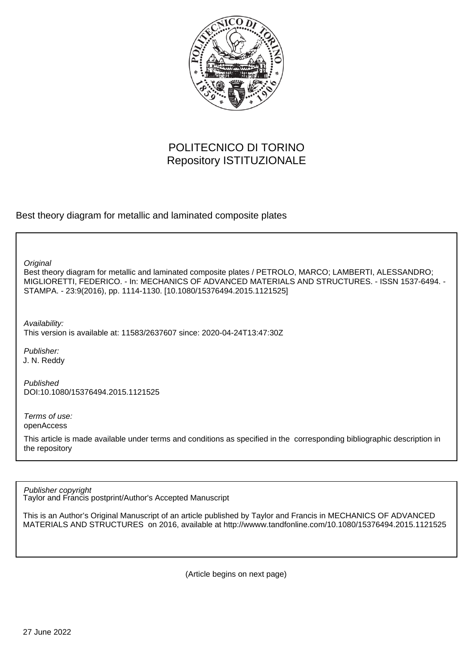

## POLITECNICO DI TORINO Repository ISTITUZIONALE

Best theory diagram for metallic and laminated composite plates

**Original** 

Best theory diagram for metallic and laminated composite plates / PETROLO, MARCO; LAMBERTI, ALESSANDRO; MIGLIORETTI, FEDERICO. - In: MECHANICS OF ADVANCED MATERIALS AND STRUCTURES. - ISSN 1537-6494. - STAMPA. - 23:9(2016), pp. 1114-1130. [10.1080/15376494.2015.1121525]

Availability:

This version is available at: 11583/2637607 since: 2020-04-24T13:47:30Z

Publisher: J. N. Reddy

Published DOI:10.1080/15376494.2015.1121525

Terms of use: openAccess

This article is made available under terms and conditions as specified in the corresponding bibliographic description in the repository

Publisher copyright

Taylor and Francis postprint/Author's Accepted Manuscript

This is an Author's Original Manuscript of an article published by Taylor and Francis in MECHANICS OF ADVANCED MATERIALS AND STRUCTURES on 2016, available at http://wwww.tandfonline.com/10.1080/15376494.2015.1121525

(Article begins on next page)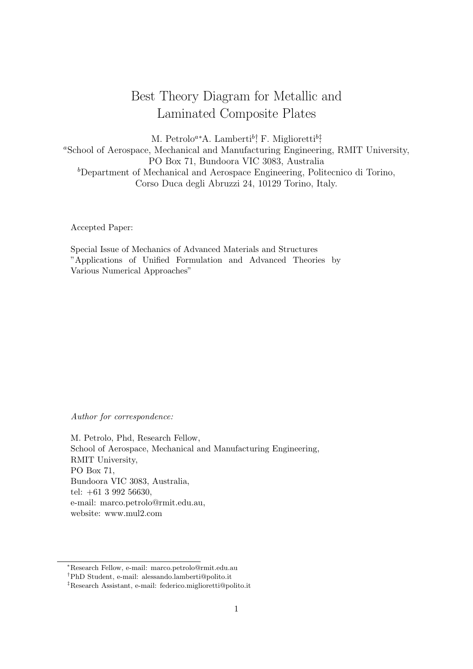# Best Theory Diagram for Metallic and Laminated Composite Plates

M. Petrolo<sup>a∗</sup>A. Lamberti<sup>b</sup>; F. Miglioretti<sup>b</sup>;

<sup>a</sup>School of Aerospace, Mechanical and Manufacturing Engineering, RMIT University, PO Box 71, Bundoora VIC 3083, Australia <sup>b</sup>Department of Mechanical and Aerospace Engineering, Politecnico di Torino, Corso Duca degli Abruzzi 24, 10129 Torino, Italy.

Accepted Paper:

Special Issue of Mechanics of Advanced Materials and Structures "Applications of Unified Formulation and Advanced Theories by Various Numerical Approaches"

Author for correspondence:

M. Petrolo, Phd, Research Fellow, School of Aerospace, Mechanical and Manufacturing Engineering, RMIT University, PO Box 71, Bundoora VIC 3083, Australia, tel: +61 3 992 56630, e-mail: marco.petrolo@rmit.edu.au, website: www.mul2.com

<sup>∗</sup>Research Fellow, e-mail: marco.petrolo@rmit.edu.au

<sup>†</sup>PhD Student, e-mail: alessando.lamberti@polito.it

<sup>‡</sup>Research Assistant, e-mail: federico.miglioretti@polito.it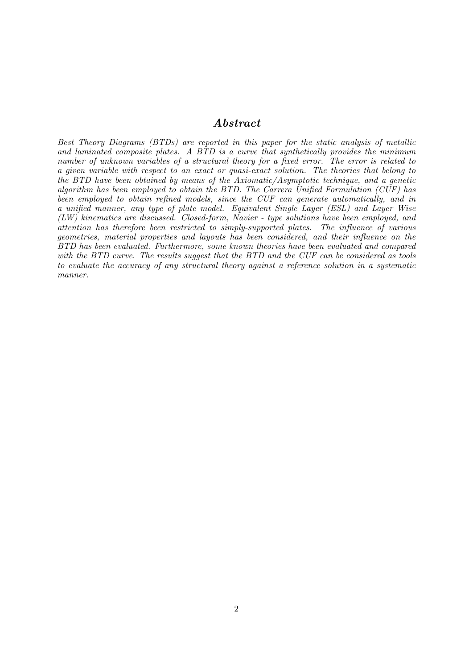## Abstract

Best Theory Diagrams (BTDs) are reported in this paper for the static analysis of metallic and laminated composite plates. A BTD is a curve that synthetically provides the minimum number of unknown variables of a structural theory for a fixed error. The error is related to a given variable with respect to an exact or quasi-exact solution. The theories that belong to the BTD have been obtained by means of the Axiomatic/Asymptotic technique, and a genetic algorithm has been employed to obtain the BTD. The Carrera Unified Formulation (CUF) has been employed to obtain refined models, since the CUF can generate automatically, and in a unified manner, any type of plate model. Equivalent Single Layer (ESL) and Layer Wise (LW) kinematics are discussed. Closed-form, Navier - type solutions have been employed, and attention has therefore been restricted to simply-supported plates. The influence of various geometries, material properties and layouts has been considered, and their influence on the BTD has been evaluated. Furthermore, some known theories have been evaluated and compared with the BTD curve. The results suggest that the BTD and the CUF can be considered as tools to evaluate the accuracy of any structural theory against a reference solution in a systematic manner.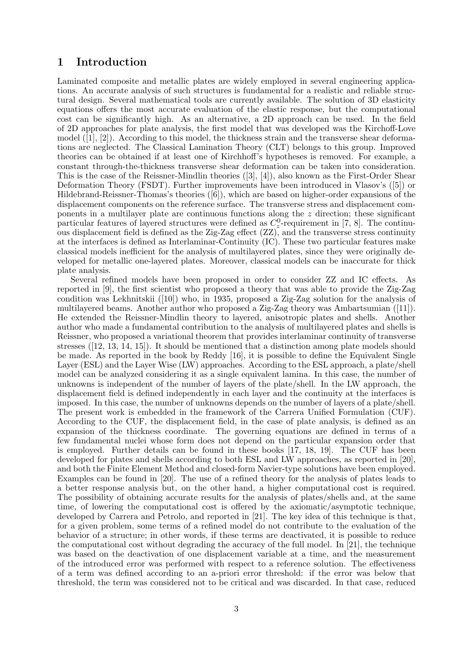## 1 Introduction

Laminated composite and metallic plates are widely employed in several engineering applications. An accurate analysis of such structures is fundamental for a realistic and reliable structural design. Several mathematical tools are currently available. The solution of 3D elasticity equations offers the most accurate evaluation of the elastic response, but the computational cost can be significantly high. As an alternative, a 2D approach can be used. In the field of 2D approaches for plate analysis, the first model that was developed was the Kirchoff-Love model  $([1], [2])$ . According to this model, the thickness strain and the transverse shear deformations are neglected. The Classical Lamination Theory (CLT) belongs to this group. Improved theories can be obtained if at least one of Kirchhoff's hypotheses is removed. For example, a constant through-the-thickness transverse shear deformation can be taken into consideration. This is the case of the Reissner-Mindlin theories ([3], [4]), also known as the First-Order Shear Deformation Theory (FSDT). Further improvements have been introduced in Vlasov's ([5]) or Hildebrand-Reissner-Thomas's theories ([6]), which are based on higher-order expansions of the displacement components on the reference surface. The transverse stress and displacement components in a multilayer plate are continuous functions along the  $z$  direction; these significant particular features of layered structures were defined as  $C_2^0$ -requirement in [7, 8]. The continuous displacement field is defined as the Zig-Zag effect (ZZ), and the transverse stress continuity at the interfaces is defined as Interlaminar-Continuity (IC). These two particular features make classical models inefficient for the analysis of multilayered plates, since they were originally developed for metallic one-layered plates. Moreover, classical models can be inaccurate for thick plate analysis.

Several refined models have been proposed in order to consider ZZ and IC effects. As reported in [9], the first scientist who proposed a theory that was able to provide the Zig-Zag condition was Lekhnitskii ([10]) who, in 1935, proposed a Zig-Zag solution for the analysis of multilayered beams. Another author who proposed a Zig-Zag theory was Ambartsumian ([11]). He extended the Reissner-Mindlin theory to layered, anisotropic plates and shells. Another author who made a fundamental contribution to the analysis of multilayered plates and shells is Reissner, who proposed a variational theorem that provides interlaminar continuity of transverse stresses ([12, 13, 14, 15]). It should be mentioned that a distinction among plate models should be made. As reported in the book by Reddy [16], it is possible to define the Equivalent Single Layer (ESL) and the Layer Wise (LW) approaches. According to the ESL approach, a plate/shell model can be analyzed considering it as a single equivalent lamina. In this case, the number of unknowns is independent of the number of layers of the plate/shell. In the LW approach, the displacement field is defined independently in each layer and the continuity at the interfaces is imposed. In this case, the number of unknowns depends on the number of layers of a plate/shell. The present work is embedded in the framework of the Carrera Unified Formulation (CUF). According to the CUF, the displacement field, in the case of plate analysis, is defined as an expansion of the thickness coordinate. The governing equations are defined in terms of a few fundamental nuclei whose form does not depend on the particular expansion order that is employed. Further details can be found in these books [17, 18, 19]. The CUF has been developed for plates and shells according to both ESL and LW approaches, as reported in [20], and both the Finite Element Method and closed-form Navier-type solutions have been employed. Examples can be found in [20]. The use of a refined theory for the analysis of plates leads to a better response analysis but, on the other hand, a higher computational cost is required. The possibility of obtaining accurate results for the analysis of plates/shells and, at the same time, of lowering the computational cost is offered by the axiomatic/asymptotic technique, developed by Carrera and Petrolo, and reported in [21]. The key idea of this technique is that, for a given problem, some terms of a refined model do not contribute to the evaluation of the behavior of a structure; in other words, if these terms are deactivated, it is possible to reduce the computational cost without degrading the accuracy of the full model. In [21], the technique was based on the deactivation of one displacement variable at a time, and the measurement of the introduced error was performed with respect to a reference solution. The effectiveness of a term was defined according to an a-priori error threshold: if the error was below that threshold, the term was considered not to be critical and was discarded. In that case, reduced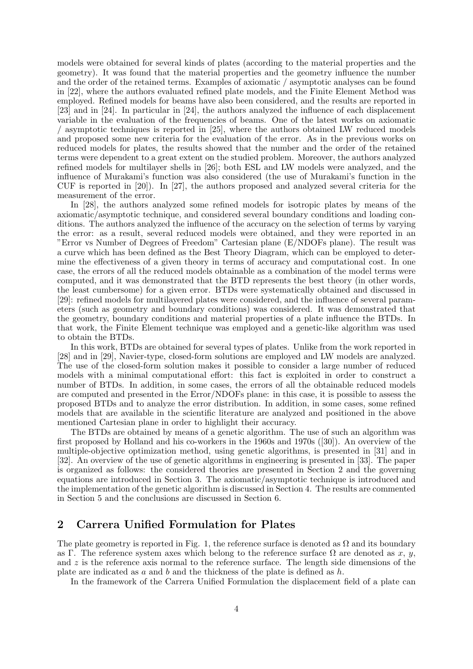models were obtained for several kinds of plates (according to the material properties and the geometry). It was found that the material properties and the geometry influence the number and the order of the retained terms. Examples of axiomatic / asymptotic analyses can be found in [22], where the authors evaluated refined plate models, and the Finite Element Method was employed. Refined models for beams have also been considered, and the results are reported in [23] and in [24]. In particular in [24], the authors analyzed the influence of each displacement variable in the evaluation of the frequencies of beams. One of the latest works on axiomatic / asymptotic techniques is reported in [25], where the authors obtained LW reduced models and proposed some new criteria for the evaluation of the error. As in the previous works on reduced models for plates, the results showed that the number and the order of the retained terms were dependent to a great extent on the studied problem. Moreover, the authors analyzed refined models for multilayer shells in [26]; both ESL and LW models were analyzed, and the influence of Murakami's function was also considered (the use of Murakami's function in the CUF is reported in [20]). In [27], the authors proposed and analyzed several criteria for the measurement of the error.

In [28], the authors analyzed some refined models for isotropic plates by means of the axiomatic/asymptotic technique, and considered several boundary conditions and loading conditions. The authors analyzed the influence of the accuracy on the selection of terms by varying the error: as a result, several reduced models were obtained, and they were reported in an "Error vs Number of Degrees of Freedom" Cartesian plane (E/NDOFs plane). The result was a curve which has been defined as the Best Theory Diagram, which can be employed to determine the effectiveness of a given theory in terms of accuracy and computational cost. In one case, the errors of all the reduced models obtainable as a combination of the model terms were computed, and it was demonstrated that the BTD represents the best theory (in other words, the least cumbersome) for a given error. BTDs were systematically obtained and discussed in [29]: refined models for multilayered plates were considered, and the influence of several parameters (such as geometry and boundary conditions) was considered. It was demonstrated that the geometry, boundary conditions and material properties of a plate influence the BTDs. In that work, the Finite Element technique was employed and a genetic-like algorithm was used to obtain the BTDs.

In this work, BTDs are obtained for several types of plates. Unlike from the work reported in [28] and in [29], Navier-type, closed-form solutions are employed and LW models are analyzed. The use of the closed-form solution makes it possible to consider a large number of reduced models with a minimal computational effort: this fact is exploited in order to construct a number of BTDs. In addition, in some cases, the errors of all the obtainable reduced models are computed and presented in the Error/NDOFs plane: in this case, it is possible to assess the proposed BTDs and to analyze the error distribution. In addition, in some cases, some refined models that are available in the scientific literature are analyzed and positioned in the above mentioned Cartesian plane in order to highlight their accuracy.

The BTDs are obtained by means of a genetic algorithm. The use of such an algorithm was first proposed by Holland and his co-workers in the 1960s and 1970s ([30]). An overview of the multiple-objective optimization method, using genetic algorithms, is presented in [31] and in [32]. An overview of the use of genetic algorithms in engineering is presented in [33]. The paper is organized as follows: the considered theories are presented in Section 2 and the governing equations are introduced in Section 3. The axiomatic/asymptotic technique is introduced and the implementation of the genetic algorithm is discussed in Section 4. The results are commented in Section 5 and the conclusions are discussed in Section 6.

## 2 Carrera Unified Formulation for Plates

The plate geometry is reported in Fig. 1, the reference surface is denoted as  $\Omega$  and its boundary as Γ. The reference system axes which belong to the reference surface  $\Omega$  are denoted as x, y, and z is the reference axis normal to the reference surface. The length side dimensions of the plate are indicated as a and b and the thickness of the plate is defined as  $h$ .

In the framework of the Carrera Unified Formulation the displacement field of a plate can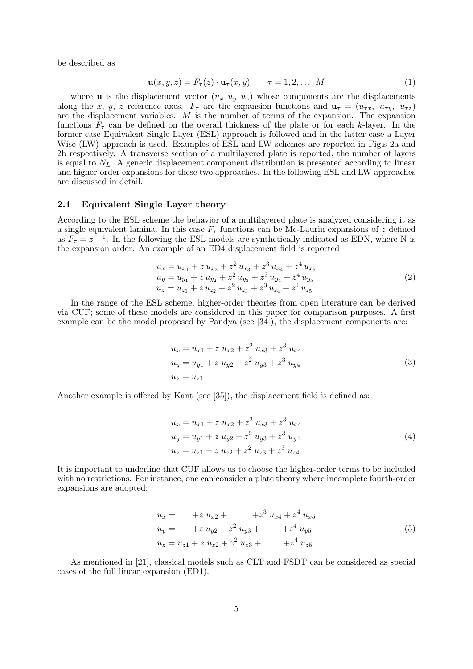be described as

$$
\mathbf{u}(x, y, z) = F_{\tau}(z) \cdot \mathbf{u}_{\tau}(x, y) \qquad \tau = 1, 2, \dots, M \tag{1}
$$

where **u** is the displacement vector  $(u_x, u_y, u_z)$  whose components are the displacements along the x, y, z reference axes.  $F_{\tau}$  are the expansion functions and  $\mathbf{u}_{\tau} = (u_{\tau x}, u_{\tau y}, u_{\tau z})$ are the displacement variables. M is the number of terms of the expansion. The expansion functions  $F_{\tau}$  can be defined on the overall thickness of the plate or for each k-layer. In the former case Equivalent Single Layer (ESL) approach is followed and in the latter case a Layer Wise (LW) approach is used. Examples of ESL and LW schemes are reported in Fig.s 2a and 2b respectively. A transverse section of a multilayered plate is reported, the number of layers is equal to  $N_L$ . A generic displacement component distribution is presented according to linear and higher-order expansions for these two approaches. In the following ESL and LW approaches are discussed in detail.

#### 2.1 Equivalent Single Layer theory

According to the ESL scheme the behavior of a multilayered plate is analyzed considering it as a single equivalent lamina. In this case  $F<sub>\tau</sub>$  functions can be Mc-Laurin expansions of z defined as  $F_{\tau} = z^{\tau-1}$ . In the following the ESL models are synthetically indicated as EDN, where N is the expansion order. An example of an ED4 displacement field is reported

$$
u_x = u_{x_1} + z u_{x_2} + z^2 u_{x_3} + z^3 u_{x_4} + z^4 u_{x_5}
$$
  
\n
$$
u_y = u_{y_1} + z u_{y_2} + z^2 u_{y_3} + z^3 u_{y_4} + z^4 u_{y_5}
$$
  
\n
$$
u_z = u_{z_1} + z u_{z_2} + z^2 u_{z_3} + z^3 u_{z_4} + z^4 u_{z_5}
$$
\n(2)

In the range of the ESL scheme, higher-order theories from open literature can be derived via CUF; some of these models are considered in this paper for comparison purposes. A first example can be the model proposed by Pandya (see [34]), the displacement components are:

$$
u_x = u_{x1} + z u_{x2} + z^2 u_{x3} + z^3 u_{x4}
$$
  
\n
$$
u_y = u_{y1} + z u_{y2} + z^2 u_{y3} + z^3 u_{y4}
$$
  
\n
$$
u_z = u_{z1}
$$
\n(3)

Another example is offered by Kant (see [35]), the displacement field is defined as:

$$
u_x = u_{x1} + z u_{x2} + z^2 u_{x3} + z^3 u_{x4}
$$
  
\n
$$
u_y = u_{y1} + z u_{y2} + z^2 u_{y3} + z^3 u_{y4}
$$
  
\n
$$
u_z = u_{z1} + z u_{z2} + z^2 u_{z3} + z^3 u_{z4}
$$
\n(4)

It is important to underline that CUF allows us to choose the higher-order terms to be included with no restrictions. For instance, one can consider a plate theory where incomplete fourth-order expansions are adopted:

$$
u_x = +z u_{x2} + z^3 u_{x4} + z^4 u_{x5}
$$
  
\n
$$
u_y = +z u_{y2} + z^2 u_{y3} + z^4 u_{y5}
$$
  
\n
$$
u_z = u_{z1} + z u_{z2} + z^2 u_{z3} + z^4 u_{z5}
$$
\n(5)

As mentioned in [21], classical models such as CLT and FSDT can be considered as special cases of the full linear expansion (ED1).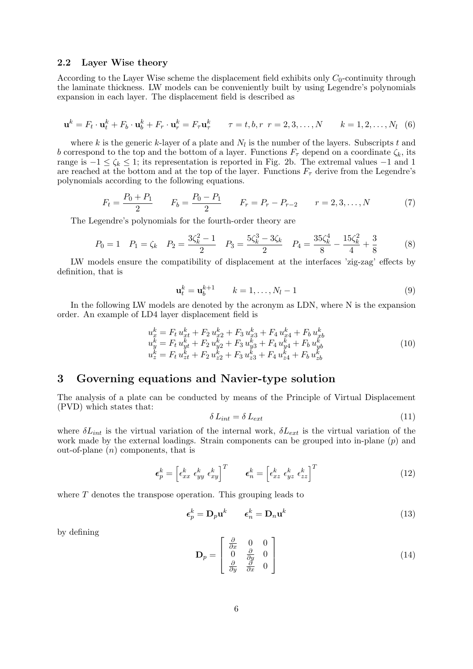#### 2.2 Layer Wise theory

According to the Layer Wise scheme the displacement field exhibits only  $C_0$ -continuity through the laminate thickness. LW models can be conveniently built by using Legendre's polynomials expansion in each layer. The displacement field is described as

$$
\mathbf{u}^k = F_t \cdot \mathbf{u}_t^k + F_b \cdot \mathbf{u}_b^k + F_r \cdot \mathbf{u}_r^k = F_\tau \mathbf{u}_\tau^k \qquad \tau = t, b, r \ r = 2, 3, \dots, N \qquad k = 1, 2, \dots, N_l \quad (6)
$$

where k is the generic k-layer of a plate and  $N_l$  is the number of the layers. Subscripts t and b correspond to the top and the bottom of a layer. Functions  $F_\tau$  depend on a coordinate  $\zeta_k$ , its range is  $-1 \le \zeta_k \le 1$ ; its representation is reported in Fig. 2b. The extremal values  $-1$  and 1 are reached at the bottom and at the top of the layer. Functions  $F<sub>\tau</sub>$  derive from the Legendre's polynomials according to the following equations.

$$
F_t = \frac{P_0 + P_1}{2} \qquad F_b = \frac{P_0 - P_1}{2} \qquad F_r = P_r - P_{r-2} \qquad r = 2, 3, \dots, N \tag{7}
$$

The Legendre's polynomials for the fourth-order theory are

$$
P_0 = 1 \quad P_1 = \zeta_k \quad P_2 = \frac{3\zeta_k^2 - 1}{2} \quad P_3 = \frac{5\zeta_k^3 - 3\zeta_k}{2} \quad P_4 = \frac{35\zeta_k^4}{8} - \frac{15\zeta_k^2}{4} + \frac{3}{8} \tag{8}
$$

LW models ensure the compatibility of displacement at the interfaces 'zig-zag' effects by definition, that is

$$
\mathbf{u}_t^k = \mathbf{u}_b^{k+1} \qquad k = 1, \dots, N_l - 1 \tag{9}
$$

In the following LW models are denoted by the acronym as LDN, where N is the expansion order. An example of LD4 layer displacement field is

$$
u_x^k = F_t u_{xt}^k + F_2 u_{x2}^k + F_3 u_{x3}^k + F_4 u_{x4}^k + F_b u_{xb}^k
$$
  
\n
$$
u_y^k = F_t u_{yt}^k + F_2 u_{y2}^k + F_3 u_{y3}^k + F_4 u_{y4}^k + F_b u_{yb}^k
$$
  
\n
$$
u_z^k = F_t u_{zt}^k + F_2 u_{z2}^k + F_3 u_{z3}^k + F_4 u_{z4}^k + F_b u_{zb}^k
$$
\n(10)

## 3 Governing equations and Navier-type solution

The analysis of a plate can be conducted by means of the Principle of Virtual Displacement (PVD) which states that:

$$
\delta L_{int} = \delta L_{ext} \tag{11}
$$

where  $\delta L_{int}$  is the virtual variation of the internal work,  $\delta L_{ext}$  is the virtual variation of the work made by the external loadings. Strain components can be grouped into in-plane  $(p)$  and out-of-plane  $(n)$  components, that is

$$
\boldsymbol{\epsilon}_p^k = \begin{bmatrix} \epsilon_{xx}^k & \epsilon_{yy}^k & \epsilon_{xy}^k \end{bmatrix}^T \qquad \boldsymbol{\epsilon}_n^k = \begin{bmatrix} \epsilon_{xz}^k & \epsilon_{yz}^k & \epsilon_{zz}^k \end{bmatrix}^T \tag{12}
$$

where T denotes the transpose operation. This grouping leads to

$$
\epsilon_p^k = \mathbf{D}_p \mathbf{u}^k \qquad \epsilon_n^k = \mathbf{D}_n \mathbf{u}^k \tag{13}
$$

by defining

$$
\mathbf{D}_p = \begin{bmatrix} \frac{\partial}{\partial x} & 0 & 0\\ 0 & \frac{\partial}{\partial y} & 0\\ \frac{\partial}{\partial y} & \frac{\partial}{\partial x} & 0 \end{bmatrix}
$$
(14)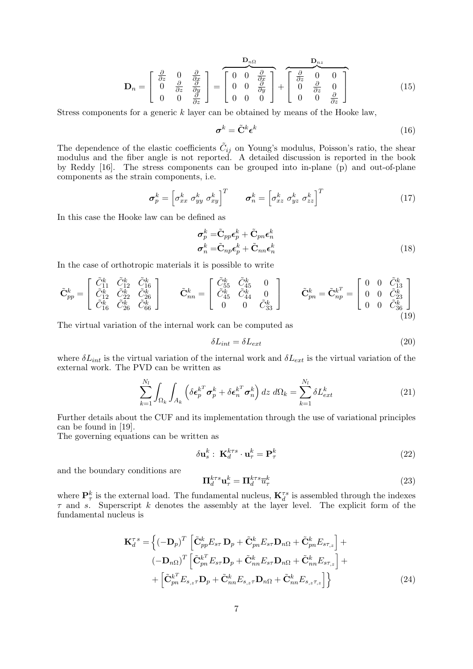$$
\mathbf{D}_n = \begin{bmatrix} \frac{\partial}{\partial z} & 0 & \frac{\partial}{\partial x} \\ 0 & \frac{\partial}{\partial z} & \frac{\partial}{\partial y} \\ 0 & 0 & \frac{\partial}{\partial z} \end{bmatrix} = \begin{bmatrix} \mathbf{D}_{n\Omega} & \mathbf{D}_{nz} \\ 0 & 0 & \frac{\partial}{\partial x} \\ 0 & 0 & 0 \end{bmatrix} + \begin{bmatrix} \frac{\partial}{\partial z} & 0 & 0 \\ 0 & \frac{\partial}{\partial z} & 0 \\ 0 & 0 & \frac{\partial}{\partial z} \end{bmatrix}
$$
(15)

Stress components for a generic k layer can be obtained by means of the Hooke law,

$$
\boldsymbol{\sigma}^k = \tilde{\mathbf{C}}^k \boldsymbol{\epsilon}^k \tag{16}
$$

The dependence of the elastic coefficients  $\tilde{C}_{ij}$  on Young's modulus, Poisson's ratio, the shear modulus and the fiber angle is not reported. A detailed discussion is reported in the book by Reddy [16]. The stress components can be grouped into in-plane (p) and out-of-plane components as the strain components, i.e.

$$
\boldsymbol{\sigma}_p^k = \begin{bmatrix} \sigma_{xx}^k & \sigma_{yy}^k & \sigma_{xy}^k \end{bmatrix}^T \qquad \boldsymbol{\sigma}_n^k = \begin{bmatrix} \sigma_{xz}^k & \sigma_{yz}^k & \sigma_{zz}^k \end{bmatrix}^T \tag{17}
$$

In this case the Hooke law can be defined as

$$
\sigma_p^k = \tilde{\mathbf{C}}_{pp} \boldsymbol{\epsilon}_p^k + \tilde{\mathbf{C}}_{pn} \boldsymbol{\epsilon}_n^k
$$
  
\n
$$
\boldsymbol{\sigma}_n^k = \tilde{\mathbf{C}}_{np} \boldsymbol{\epsilon}_p^k + \tilde{\mathbf{C}}_{nn} \boldsymbol{\epsilon}_n^k
$$
\n(18)

In the case of orthotropic materials it is possible to write

$$
\tilde{\mathbf{C}}_{pp}^{k} = \begin{bmatrix} \tilde{C}_{11}^{k} & \tilde{C}_{12}^{k} & \tilde{C}_{16}^{k} \\ \tilde{C}_{12}^{k} & \tilde{C}_{22}^{k} & \tilde{C}_{26}^{k} \\ \tilde{C}_{16}^{k} & \tilde{C}_{26}^{k} & \tilde{C}_{66}^{k} \end{bmatrix} \qquad \tilde{\mathbf{C}}_{nn}^{k} = \begin{bmatrix} \tilde{C}_{55}^{k} & \tilde{C}_{45}^{k} & 0 \\ \tilde{C}_{45}^{k} & \tilde{C}_{44}^{k} & 0 \\ 0 & 0 & \tilde{C}_{33}^{k} \end{bmatrix} \qquad \tilde{\mathbf{C}}_{pn}^{k} = \tilde{\mathbf{C}}_{np}^{k^{T}} = \begin{bmatrix} 0 & 0 & \tilde{C}_{13}^{k} \\ 0 & 0 & \tilde{C}_{23}^{k} \\ 0 & 0 & \tilde{C}_{36}^{k} \end{bmatrix}
$$
\n(19)

The virtual variation of the internal work can be computed as

$$
\delta L_{int} = \delta L_{ext} \tag{20}
$$

where  $\delta L_{int}$  is the virtual variation of the internal work and  $\delta L_{ext}$  is the virtual variation of the external work. The PVD can be written as

$$
\sum_{k=1}^{N_l} \int_{\Omega_k} \int_{A_k} \left( \delta \boldsymbol{\epsilon}_p^{k^T} \boldsymbol{\sigma}_p^k + \delta \boldsymbol{\epsilon}_n^{k^T} \boldsymbol{\sigma}_n^k \right) dz \ d\Omega_k = \sum_{k=1}^{N_l} \delta L_{ext}^k \tag{21}
$$

Further details about the CUF and its implementation through the use of variational principles can be found in [19].

The governing equations can be written as

$$
\delta \mathbf{u}_s^k : \, \mathbf{K}_d^{k\tau s} \cdot \mathbf{u}_\tau^k = \mathbf{P}_\tau^k \tag{22}
$$

and the boundary conditions are

$$
\Pi_d^{k\tau s} \mathbf{u}_{\tau}^k = \Pi_d^{k\tau s} \overline{u}_{\tau}^k \tag{23}
$$

where  $\mathbf{P}_{\tau}^{k}$  is the external load. The fundamental nucleus,  $\mathbf{K}_{d}^{\tau s}$  is assembled through the indexes  $\tau$  and s. Superscript k denotes the assembly at the layer level. The explicit form of the fundamental nucleus is

$$
\mathbf{K}_{d}^{\tau s} = \left\{ (-\mathbf{D}_{p})^{T} \left[ \tilde{\mathbf{C}}_{pp}^{k} E_{s\tau} \mathbf{D}_{p} + \tilde{\mathbf{C}}_{pn}^{k} E_{s\tau} \mathbf{D}_{n\Omega} + \tilde{\mathbf{C}}_{pn}^{k} E_{s\tau,z} \right] +
$$
  

$$
(-\mathbf{D}_{n\Omega})^{T} \left[ \tilde{\mathbf{C}}_{pn}^{k^{T}} E_{s\tau} \mathbf{D}_{p} + \tilde{\mathbf{C}}_{nn}^{k} E_{s\tau} \mathbf{D}_{n\Omega} + \tilde{\mathbf{C}}_{nn}^{k} E_{s\tau,z} \right] +
$$
  

$$
+ \left[ \tilde{\mathbf{C}}_{pn}^{k^{T}} E_{s,z\tau} \mathbf{D}_{p} + \tilde{\mathbf{C}}_{nn}^{k} E_{s,z\tau} \mathbf{D}_{n\Omega} + \tilde{\mathbf{C}}_{nn}^{k} E_{s,z\tau,z} \right] \right\}
$$
(24)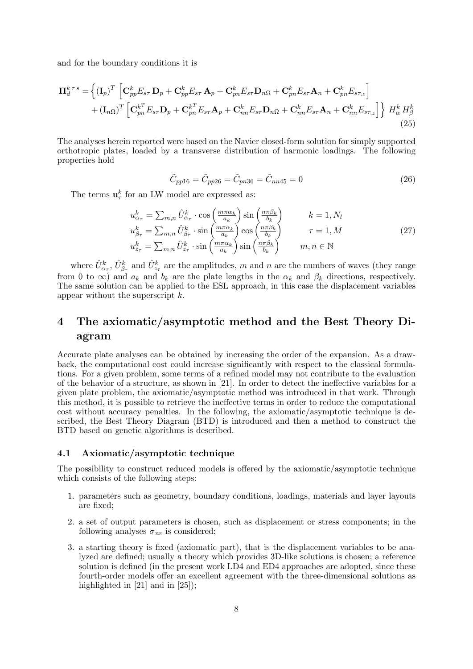and for the boundary conditions it is

$$
\Pi_{d}^{k \tau s} = \left\{ (\mathbf{I}_{p})^{T} \left[ \mathbf{C}_{pp}^{k} E_{s\tau} \mathbf{D}_{p} + \mathbf{C}_{pp}^{k} E_{s\tau} \mathbf{A}_{p} + \mathbf{C}_{pn}^{k} E_{s\tau} \mathbf{D}_{n\Omega} + \mathbf{C}_{pn}^{k} E_{s\tau} \mathbf{A}_{n} + \mathbf{C}_{pn}^{k} E_{s\tau,z} \right] + (\mathbf{I}_{n\Omega})^{T} \left[ \mathbf{C}_{pn}^{k^{T}} E_{s\tau} \mathbf{D}_{p} + \mathbf{C}_{pn}^{k^{T}} E_{s\tau} \mathbf{A}_{p} + \mathbf{C}_{nn}^{k} E_{s\tau} \mathbf{D}_{n\Omega} + \mathbf{C}_{nn}^{k} E_{s\tau} \mathbf{A}_{n} + \mathbf{C}_{nn}^{k} E_{s\tau,z} \right] \right\} H_{\alpha}^{k} H_{\beta}^{k}
$$
\n(25)

The analyses herein reported were based on the Navier closed-form solution for simply supported orthotropic plates, loaded by a transverse distribution of harmonic loadings. The following properties hold

$$
\tilde{C}_{pp16} = \tilde{C}_{pp26} = \tilde{C}_{pn36} = \tilde{C}_{nn45} = 0
$$
\n(26)

The terms  $\mathbf{u}_{\tau}^{k}$  for an LW model are expressed as:

$$
u_{\alpha_{\tau}}^{k} = \sum_{m,n} \hat{U}_{\alpha_{\tau}}^{k} \cdot \cos\left(\frac{m\pi\alpha_{k}}{a_{k}}\right) \sin\left(\frac{n\pi\beta_{k}}{b_{k}}\right) \qquad k = 1, N_{l}
$$
  
\n
$$
u_{\beta_{\tau}}^{k} = \sum_{m,n} \hat{U}_{\beta_{\tau}}^{k} \cdot \sin\left(\frac{m\pi\alpha_{k}}{a_{k}}\right) \cos\left(\frac{n\pi\beta_{k}}{b_{k}}\right) \qquad \tau = 1, M
$$
  
\n
$$
u_{z_{\tau}}^{k} = \sum_{m,n} \hat{U}_{z_{\tau}}^{k} \cdot \sin\left(\frac{m\pi\alpha_{k}}{a_{k}}\right) \sin\left(\frac{n\pi\beta_{k}}{b_{k}}\right) \qquad m, n \in \mathbb{N}
$$
\n(27)

where  $\hat{U}^k_{\alpha_{\tau}}, \hat{U}^k_{\beta_{\tau}}$  and  $\hat{U}^k_{z_{\tau}}$  are the amplitudes, m and n are the numbers of waves (they range from 0 to  $\infty$ ) and  $a_k$  and  $b_k$  are the plate lengths in the  $\alpha_k$  and  $\beta_k$  directions, respectively. The same solution can be applied to the ESL approach, in this case the displacement variables appear without the superscript k.

## 4 The axiomatic/asymptotic method and the Best Theory Diagram

Accurate plate analyses can be obtained by increasing the order of the expansion. As a drawback, the computational cost could increase significantly with respect to the classical formulations. For a given problem, some terms of a refined model may not contribute to the evaluation of the behavior of a structure, as shown in [21]. In order to detect the ineffective variables for a given plate problem, the axiomatic/asymptotic method was introduced in that work. Through this method, it is possible to retrieve the ineffective terms in order to reduce the computational cost without accuracy penalties. In the following, the axiomatic/asymptotic technique is described, the Best Theory Diagram (BTD) is introduced and then a method to construct the BTD based on genetic algorithms is described.

#### 4.1 Axiomatic/asymptotic technique

The possibility to construct reduced models is offered by the axiomatic/asymptotic technique which consists of the following steps:

- 1. parameters such as geometry, boundary conditions, loadings, materials and layer layouts are fixed;
- 2. a set of output parameters is chosen, such as displacement or stress components; in the following analyses  $\sigma_{xx}$  is considered;
- 3. a starting theory is fixed (axiomatic part), that is the displacement variables to be analyzed are defined; usually a theory which provides 3D-like solutions is chosen; a reference solution is defined (in the present work LD4 and ED4 approaches are adopted, since these fourth-order models offer an excellent agreement with the three-dimensional solutions as highlighted in [21] and in [25]);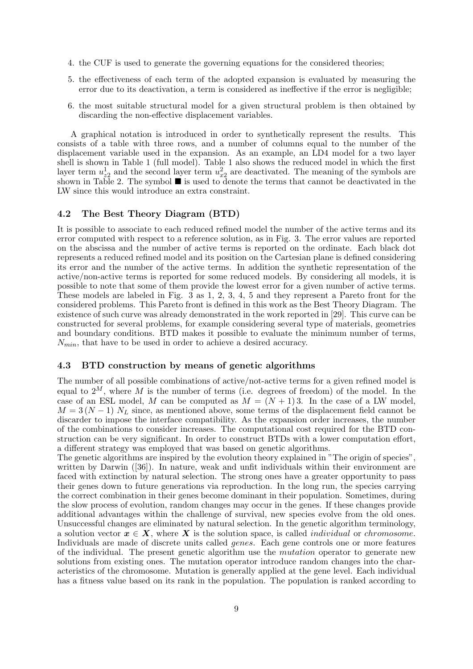- 4. the CUF is used to generate the governing equations for the considered theories;
- 5. the effectiveness of each term of the adopted expansion is evaluated by measuring the error due to its deactivation, a term is considered as ineffective if the error is negligible;
- 6. the most suitable structural model for a given structural problem is then obtained by discarding the non-effective displacement variables.

A graphical notation is introduced in order to synthetically represent the results. This consists of a table with three rows, and a number of columns equal to the number of the displacement variable used in the expansion. As an example, an LD4 model for a two layer shell is shown in Table 1 (full model). Table 1 also shows the reduced model in which the first layer term  $u_{z2}^1$  and the second layer term  $u_{x2}^2$  are deactivated. The meaning of the symbols are shown in Table 2. The symbol  $\blacksquare$  is used to denote the terms that cannot be deactivated in the LW since this would introduce an extra constraint.

#### 4.2 The Best Theory Diagram (BTD)

It is possible to associate to each reduced refined model the number of the active terms and its error computed with respect to a reference solution, as in Fig. 3. The error values are reported on the abscissa and the number of active terms is reported on the ordinate. Each black dot represents a reduced refined model and its position on the Cartesian plane is defined considering its error and the number of the active terms. In addition the synthetic representation of the active/non-active terms is reported for some reduced models. By considering all models, it is possible to note that some of them provide the lowest error for a given number of active terms. These models are labeled in Fig. 3 as 1, 2, 3, 4, 5 and they represent a Pareto front for the considered problems. This Pareto front is defined in this work as the Best Theory Diagram. The existence of such curve was already demonstrated in the work reported in [29]. This curve can be constructed for several problems, for example considering several type of materials, geometries and boundary conditions. BTD makes it possible to evaluate the minimum number of terms,  $N_{min}$ , that have to be used in order to achieve a desired accuracy.

#### 4.3 BTD construction by means of genetic algorithms

The number of all possible combinations of active/not-active terms for a given refined model is equal to  $2^M$ , where M is the number of terms (i.e. degrees of freedom) of the model. In the case of an ESL model, M can be computed as  $M = (N + 1)$  3. In the case of a LW model,  $M = 3(N-1) N_L$  since, as mentioned above, some terms of the displacement field cannot be discarder to impose the interface compatibility. As the expansion order increases, the number of the combinations to consider increases. The computational cost required for the BTD construction can be very significant. In order to construct BTDs with a lower computation effort, a different strategy was employed that was based on genetic algorithms.

The genetic algorithms are inspired by the evolution theory explained in "The origin of species", written by Darwin ([36]). In nature, weak and unfit individuals within their environment are faced with extinction by natural selection. The strong ones have a greater opportunity to pass their genes down to future generations via reproduction. In the long run, the species carrying the correct combination in their genes become dominant in their population. Sometimes, during the slow process of evolution, random changes may occur in the genes. If these changes provide additional advantages within the challenge of survival, new species evolve from the old ones. Unsuccessful changes are eliminated by natural selection. In the genetic algorithm terminology, a solution vector  $x \in X$ , where X is the solution space, is called *individual* or *chromosome*. Individuals are made of discrete units called genes. Each gene controls one or more features of the individual. The present genetic algorithm use the mutation operator to generate new solutions from existing ones. The mutation operator introduce random changes into the characteristics of the chromosome. Mutation is generally applied at the gene level. Each individual has a fitness value based on its rank in the population. The population is ranked according to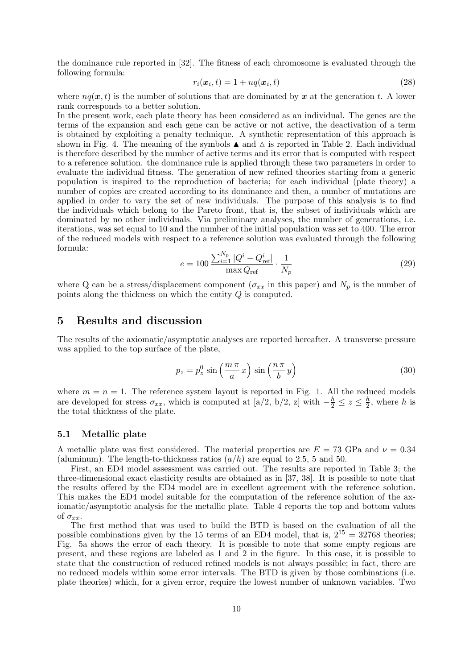the dominance rule reported in [32]. The fitness of each chromosome is evaluated through the following formula:

$$
r_i(\boldsymbol{x}_i, t) = 1 + nq(\boldsymbol{x}_i, t) \tag{28}
$$

where  $nq(x, t)$  is the number of solutions that are dominated by x at the generation t. A lower rank corresponds to a better solution.

In the present work, each plate theory has been considered as an individual. The genes are the terms of the expansion and each gene can be active or not active, the deactivation of a term is obtained by exploiting a penalty technique. A synthetic representation of this approach is shown in Fig. 4. The meaning of the symbols  $\blacktriangle$  and  $\triangle$  is reported in Table 2. Each individual is therefore described by the number of active terms and its error that is computed with respect to a reference solution. the dominance rule is applied through these two parameters in order to evaluate the individual fitness. The generation of new refined theories starting from a generic population is inspired to the reproduction of bacteria; for each individual (plate theory) a number of copies are created according to its dominance and then, a number of mutations are applied in order to vary the set of new individuals. The purpose of this analysis is to find the individuals which belong to the Pareto front, that is, the subset of individuals which are dominated by no other individuals. Via preliminary analyses, the number of generations, i.e. iterations, was set equal to 10 and the number of the initial population was set to 400. The error of the reduced models with respect to a reference solution was evaluated through the following formula:

$$
e = 100 \frac{\sum_{i=1}^{N_p} |Q^i - Q^i_{\text{ref}}|}{\max Q_{\text{ref}}} \cdot \frac{1}{N_p} \tag{29}
$$

where Q can be a stress/displacement component ( $\sigma_{xx}$  in this paper) and  $N_p$  is the number of points along the thickness on which the entity Q is computed.

## 5 Results and discussion

The results of the axiomatic/asymptotic analyses are reported hereafter. A transverse pressure was applied to the top surface of the plate,

$$
p_z = p_z^0 \sin\left(\frac{m\,\pi}{a}\,x\right) \sin\left(\frac{n\,\pi}{b}\,y\right) \tag{30}
$$

where  $m = n = 1$ . The reference system layout is reported in Fig. 1. All the reduced models are developed for stress  $\sigma_{xx}$ , which is computed at [a/2, b/2, z] with  $-\frac{h}{2} \leq z \leq \frac{h}{2}$  $\frac{h}{2}$ , where h is the total thickness of the plate.

#### 5.1 Metallic plate

A metallic plate was first considered. The material properties are  $E = 73$  GPa and  $\nu = 0.34$ (aluminum). The length-to-thickness ratios  $(a/h)$  are equal to 2.5, 5 and 50.

First, an ED4 model assessment was carried out. The results are reported in Table 3; the three-dimensional exact elasticity results are obtained as in [37, 38]. It is possible to note that the results offered by the ED4 model are in excellent agreement with the reference solution. This makes the ED4 model suitable for the computation of the reference solution of the axiomatic/asymptotic analysis for the metallic plate. Table 4 reports the top and bottom values of  $\sigma_{xx}$ .

The first method that was used to build the BTD is based on the evaluation of all the possible combinations given by the 15 terms of an ED4 model, that is,  $2^{15} = 32768$  theories; Fig. 5a shows the error of each theory. It is possible to note that some empty regions are present, and these regions are labeled as 1 and 2 in the figure. In this case, it is possible to state that the construction of reduced refined models is not always possible; in fact, there are no reduced models within some error intervals. The BTD is given by those combinations (i.e. plate theories) which, for a given error, require the lowest number of unknown variables. Two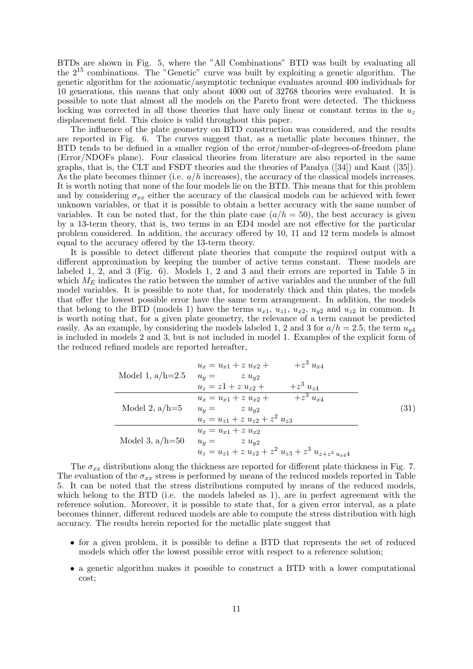BTDs are shown in Fig. 5, where the "All Combinations" BTD was built by evaluating all the  $2^{15}$  combinations. The "Genetic" curve was built by exploiting a genetic algorithm. The genetic algorithm for the axiomatic/asymptotic technique evaluates around 400 individuals for 10 generations, this means that only about 4000 out of 32768 theories were evaluated. It is possible to note that almost all the models on the Pareto front were detected. The thickness locking was corrected in all those theories that have only linear or constant terms in the  $u_z$ displacement field. This choice is valid throughout this paper.

The influence of the plate geometry on BTD construction was considered, and the results are reported in Fig. 6. The curves suggest that, as a metallic plate becomes thinner, the BTD tends to be defined in a smaller region of the error/number-of-degrees-of-freedom plane (Error/NDOFs plane). Four classical theories from literature are also reported in the same graphs, that is, the CLT and FSDT theories and the theories of Pandya ([34]) and Kant ([35]). As the plate becomes thinner (i.e.  $a/h$  increases), the accuracy of the classical models increases. It is worth noting that none of the four models lie on the BTD. This means that for this problem and by considering  $\sigma_{xx}$  either the accuracy of the classical models can be achieved with fewer unknown variables, or that it is possible to obtain a better accuracy with the same number of variables. It can be noted that, for the thin plate case  $(a/h = 50)$ , the best accuracy is given by a 13-term theory, that is, two terms in an ED4 model are not effective for the particular problem considered. In addition, the accuracy offered by 10, 11 and 12 term models is almost equal to the accuracy offered by the 13-term theory.

It is possible to detect different plate theories that compute the required output with a different approximation by keeping the number of active terms constant. These models are labeled 1, 2, and 3 (Fig. 6). Models 1, 2 and 3 and their errors are reported in Table 5 in which  $M_E$  indicates the ratio between the number of active variables and the number of the full model variables. It is possible to note that, for moderately thick and thin plates, the models that offer the lowest possible error have the same term arrangement. In addition, the models that belong to the BTD (models 1) have the terms  $u_{x1}$ ,  $u_{x1}$ ,  $u_{x2}$ ,  $u_{y2}$  and  $u_{z2}$  in common. It is worth noting that, for a given plate geometry, the relevance of a term cannot be predicted easily. As an example, by considering the models labeled 1, 2 and 3 for  $a/h = 2.5$ , the term  $u_{\nu 4}$ is included in models 2 and 3, but is not included in model 1. Examples of the explicit form of the reduced refined models are reported hereafter,

| Model 1, $a/h=2.5$ $u_y =$ | $+z^3 u_{x4}$<br>$u_x = u_{x1} + z u_{x2} + z$<br>$z u_{y2}$<br>$+z^3 u_{z4}$<br>$u_z = z_1 + z u_{z_2} + z u_{z_3}$   |      |
|----------------------------|------------------------------------------------------------------------------------------------------------------------|------|
| Model 2, $a/h=5$           | $\overline{z^3 u_{x4}}$<br>$u_x = u_{x1} + z u_{x2} + z$<br>$u_y = z u_{y2}$<br>$u_z = u_{z1} + z u_{z2} + z^2 u_{z3}$ | (31) |
| Model 3, $a/h=50$          | $u_x = u_{x1} + z u_{x2}$<br>$z u_{y2}$<br>$u_y =$<br>$u_z = u_{z1} + z u_{z2} + z^2 u_{z3} + z^3 u_{z+z^3} u_{x44}$   |      |

The  $\sigma_{xx}$  distributions along the thickness are reported for different plate thickness in Fig. 7. The evaluation of the  $\sigma_{xx}$  stress is performed by means of the reduced models reported in Table 5. It can be noted that the stress distributions computed by means of the reduced models, which belong to the BTD (i.e. the models labeled as 1), are in perfect agreement with the reference solution. Moreover, it is possible to state that, for a given error interval, as a plate becomes thinner, different reduced models are able to compute the stress distribution with high accuracy. The results herein reported for the metallic plate suggest that

- for a given problem, it is possible to define a BTD that represents the set of reduced models which offer the lowest possible error with respect to a reference solution;
- a genetic algorithm makes it possible to construct a BTD with a lower computational cost;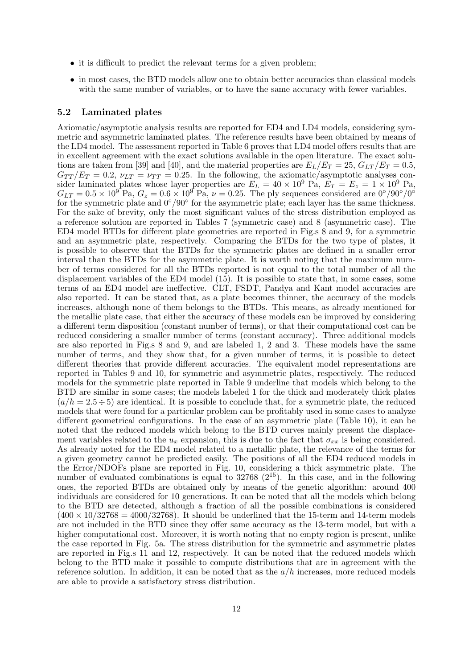- it is difficult to predict the relevant terms for a given problem;
- in most cases, the BTD models allow one to obtain better accuracies than classical models with the same number of variables, or to have the same accuracy with fewer variables.

#### 5.2 Laminated plates

Axiomatic/asymptotic analysis results are reported for ED4 and LD4 models, considering symmetric and asymmetric laminated plates. The reference results have been obtained by means of the LD4 model. The assessment reported in Table 6 proves that LD4 model offers results that are in excellent agreement with the exact solutions available in the open literature. The exact solutions are taken from [39] and [40], and the material properties are  $E_L/E_T = 25$ ,  $G_{LT}/E_T = 0.5$ ,  $G_{TT}/E_T = 0.2$ ,  $\nu_{LT} = \nu_{TT} = 0.25$ . In the following, the axiomatic/asymptotic analyses consider laminated plates whose layer properties are  $E_L = 40 \times 10^9$  Pa,  $E_T = E_z = 1 \times 10^9$  Pa,  $G_{LT} = 0.5 \times 10^{9}$  Pa,  $G_z = 0.6 \times 10^{9}$  Pa,  $\nu = 0.25$ . The ply sequences considered are  $0^{\circ}/90^{\circ}/0^{\circ}$ for the symmetric plate and 0◦/90◦ for the asymmetric plate; each layer has the same thickness. For the sake of brevity, only the most significant values of the stress distribution employed as a reference solution are reported in Tables 7 (symmetric case) and 8 (asymmetric case). The ED4 model BTDs for different plate geometries are reported in Fig.s 8 and 9, for a symmetric and an asymmetric plate, respectively. Comparing the BTDs for the two type of plates, it is possible to observe that the BTDs for the symmetric plates are defined in a smaller error interval than the BTDs for the asymmetric plate. It is worth noting that the maximum number of terms considered for all the BTDs reported is not equal to the total number of all the displacement variables of the ED4 model (15). It is possible to state that, in some cases, some terms of an ED4 model are ineffective. CLT, FSDT, Pandya and Kant model accuracies are also reported. It can be stated that, as a plate becomes thinner, the accuracy of the models increases, although none of them belongs to the BTDs. This means, as already mentioned for the metallic plate case, that either the accuracy of these models can be improved by considering a different term disposition (constant number of terms), or that their computational cost can be reduced considering a smaller number of terms (constant accuracy). Three additional models are also reported in Fig.s 8 and 9, and are labeled 1, 2 and 3. These models have the same number of terms, and they show that, for a given number of terms, it is possible to detect different theories that provide different accuracies. The equivalent model representations are reported in Tables 9 and 10, for symmetric and asymmetric plates, respectively. The reduced models for the symmetric plate reported in Table 9 underline that models which belong to the BTD are similar in some cases; the models labeled 1 for the thick and moderately thick plates  $(a/h = 2.5 \div 5)$  are identical. It is possible to conclude that, for a symmetric plate, the reduced models that were found for a particular problem can be profitably used in some cases to analyze different geometrical configurations. In the case of an asymmetric plate (Table 10), it can be noted that the reduced models which belong to the BTD curves mainly present the displacement variables related to the  $u_x$  expansion, this is due to the fact that  $\sigma_{xx}$  is being considered. As already noted for the ED4 model related to a metallic plate, the relevance of the terms for a given geometry cannot be predicted easily. The positions of all the ED4 reduced models in the Error/NDOFs plane are reported in Fig. 10, considering a thick asymmetric plate. The number of evaluated combinations is equal to  $32768$   $(2^{15})$ . In this case, and in the following ones, the reported BTDs are obtained only by means of the genetic algorithm: around 400 individuals are considered for 10 generations. It can be noted that all the models which belong to the BTD are detected, although a fraction of all the possible combinations is considered  $(400 \times 10/32768 = 4000/32768)$ . It should be underlined that the 15-term and 14-term models are not included in the BTD since they offer same accuracy as the 13-term model, but with a higher computational cost. Moreover, it is worth noting that no empty region is present, unlike the case reported in Fig. 5a. The stress distribution for the symmetric and asymmetric plates are reported in Fig.s 11 and 12, respectively. It can be noted that the reduced models which belong to the BTD make it possible to compute distributions that are in agreement with the reference solution. In addition, it can be noted that as the  $a/h$  increases, more reduced models are able to provide a satisfactory stress distribution.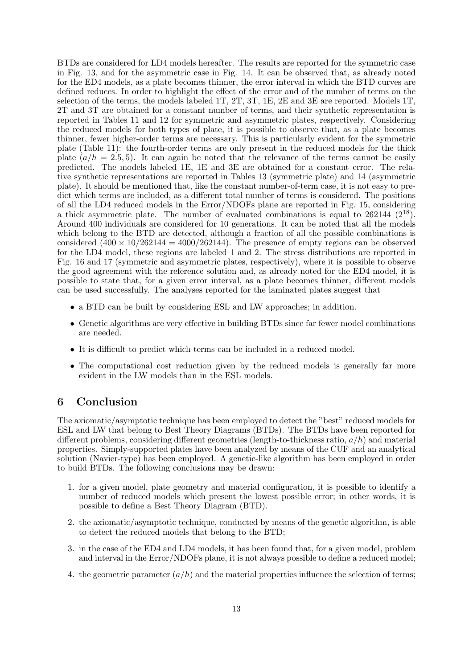BTDs are considered for LD4 models hereafter. The results are reported for the symmetric case in Fig. 13, and for the asymmetric case in Fig. 14. It can be observed that, as already noted for the ED4 models, as a plate becomes thinner, the error interval in which the BTD curves are defined reduces. In order to highlight the effect of the error and of the number of terms on the selection of the terms, the models labeled 1T, 2T, 3T, 1E, 2E and 3E are reported. Models 1T, 2T and 3T are obtained for a constant number of terms, and their synthetic representation is reported in Tables 11 and 12 for symmetric and asymmetric plates, respectively. Considering the reduced models for both types of plate, it is possible to observe that, as a plate becomes thinner, fewer higher-order terms are necessary. This is particularly evident for the symmetric plate (Table 11): the fourth-order terms are only present in the reduced models for the thick plate  $(a/h = 2.5, 5)$ . It can again be noted that the relevance of the terms cannot be easily predicted. The models labeled 1E, 1E and 3E are obtained for a constant error. The relative synthetic representations are reported in Tables 13 (symmetric plate) and 14 (asymmetric plate). It should be mentioned that, like the constant number-of-term case, it is not easy to predict which terms are included, as a different total number of terms is considered. The positions of all the LD4 reduced models in the Error/NDOFs plane are reported in Fig. 15, considering a thick asymmetric plate. The number of evaluated combinations is equal to  $262144 (2^{18})$ . Around 400 individuals are considered for 10 generations. It can be noted that all the models which belong to the BTD are detected, although a fraction of all the possible combinations is considered  $(400 \times 10/262144 = 4000/262144)$ . The presence of empty regions can be observed for the LD4 model, these regions are labeled 1 and 2. The stress distributions are reported in Fig. 16 and 17 (symmetric and asymmetric plates, respectively), where it is possible to observe the good agreement with the reference solution and, as already noted for the ED4 model, it is possible to state that, for a given error interval, as a plate becomes thinner, different models can be used successfully. The analyses reported for the laminated plates suggest that

- a BTD can be built by considering ESL and LW approaches; in addition.
- Genetic algorithms are very effective in building BTDs since far fewer model combinations are needed.
- It is difficult to predict which terms can be included in a reduced model.
- The computational cost reduction given by the reduced models is generally far more evident in the LW models than in the ESL models.

## 6 Conclusion

The axiomatic/asymptotic technique has been employed to detect the "best" reduced models for ESL and LW that belong to Best Theory Diagrams (BTDs). The BTDs have been reported for different problems, considering different geometries (length-to-thickness ratio,  $a/h$ ) and material properties. Simply-supported plates have been analyzed by means of the CUF and an analytical solution (Navier-type) has been employed. A genetic-like algorithm has been employed in order to build BTDs. The following conclusions may be drawn:

- 1. for a given model, plate geometry and material configuration, it is possible to identify a number of reduced models which present the lowest possible error; in other words, it is possible to define a Best Theory Diagram (BTD).
- 2. the axiomatic/asymptotic technique, conducted by means of the genetic algorithm, is able to detect the reduced models that belong to the BTD;
- 3. in the case of the ED4 and LD4 models, it has been found that, for a given model, problem and interval in the Error/NDOFs plane, it is not always possible to define a reduced model;
- 4. the geometric parameter  $(a/h)$  and the material properties influence the selection of terms;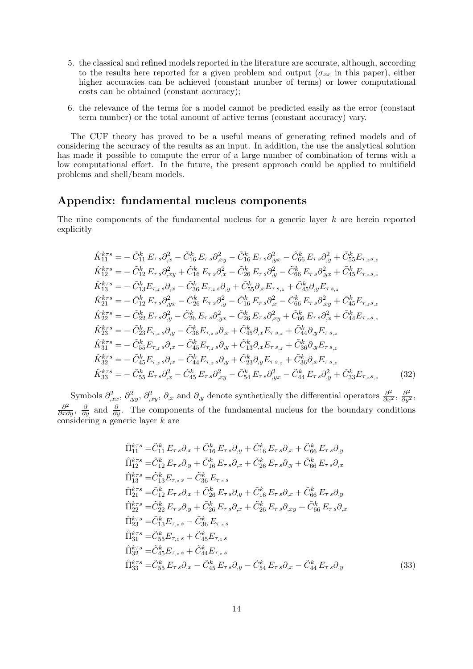- 5. the classical and refined models reported in the literature are accurate, although, according to the results here reported for a given problem and output  $(\sigma_{xx}$  in this paper), either higher accuracies can be achieved (constant number of terms) or lower computational costs can be obtained (constant accuracy);
- 6. the relevance of the terms for a model cannot be predicted easily as the error (constant term number) or the total amount of active terms (constant accuracy) vary.

The CUF theory has proved to be a useful means of generating refined models and of considering the accuracy of the results as an input. In addition, the use the analytical solution has made it possible to compute the error of a large number of combination of terms with a low computational effort. In the future, the present approach could be applied to multifield problems and shell/beam models.

## Appendix: fundamental nucleus components

The nine components of the fundamental nucleus for a generic layer k are herein reported explicitly

$$
\hat{K}_{11}^{k\tau s} = -\tilde{C}_{11}^{k} E_{\tau s} \partial_{,x}^{2} - \tilde{C}_{16}^{k} E_{\tau s} \partial_{,xy}^{2} - \tilde{C}_{16}^{k} E_{\tau s} \partial_{,yx}^{2} - \tilde{C}_{66}^{k} E_{\tau s} \partial_{,y}^{2} + \tilde{C}_{55}^{k} E_{\tau,zs,z} \n\hat{K}_{12}^{k\tau s} = -\tilde{C}_{12}^{k} E_{\tau s} \partial_{,xy}^{2} + \tilde{C}_{16}^{k} E_{\tau s} \partial_{,x}^{2} - \tilde{C}_{26}^{k} E_{\tau s} \partial_{,y}^{2} - \tilde{C}_{66}^{k} E_{\tau s} \partial_{,yx}^{2} + \tilde{C}_{45}^{k} E_{\tau,zs,z} \n\hat{K}_{13}^{k\tau s} = -\tilde{C}_{13}^{k} E_{\tau,zs} \partial_{,x} - \tilde{C}_{36}^{k} E_{\tau,zs} \partial_{,y} + \tilde{C}_{55}^{k} \partial_{,x} E_{\tau s,z} + \tilde{C}_{45}^{k} \partial_{,y} E_{\tau s,z} \n\hat{K}_{21}^{k\tau s} = -\tilde{C}_{12}^{k} E_{\tau s} \partial_{,yx}^{2} - \tilde{C}_{26}^{k} E_{\tau s} \partial_{,y}^{2} - \tilde{C}_{16}^{k} E_{\tau s} \partial_{,x}^{2} - \tilde{C}_{66}^{k} E_{\tau s} \partial_{,xy}^{2} + \tilde{C}_{45}^{k} E_{\tau,zs,z} \n\hat{K}_{22}^{k\tau s} = -\tilde{C}_{22}^{k} E_{\tau s} \partial_{,y}^{2} - \tilde{C}_{26}^{k} E_{\tau s} \partial_{,yx}^{2} - \tilde{C}_{26}^{k} E_{\tau s} \partial_{,xy}^{2} + \tilde{C}_{66}^{k} E_{\tau s} \partial_{,x}^{2} + \tilde{C}_{44}^{k} E_{\tau,zs,z} \n\hat{K}_{23}^{k\tau s} = -\tilde{C}_{23}^{k} E
$$

Symbols  $\partial_{,xx}^2$ ,  $\partial_{,yy}^2$ ,  $\partial_{,xy}^2$ ,  $\partial_{,x}$  and  $\partial_{,y}$  denote synthetically the differential operators  $\frac{\partial^2}{\partial x^2}$ ,  $\frac{\partial^2}{\partial y^2}$ ,  $\frac{\partial^2}{\partial x \partial y}$ ,  $\frac{\partial}{\partial y}$  and  $\frac{\partial}{\partial y}$ . The components of the fundamental nucleus for the boundary conditions considering a generic layer k are

$$
\hat{\Pi}_{11}^{k\tau s} = \tilde{C}_{11}^{k} E_{\tau s} \partial_{,x} + \tilde{C}_{16}^{k} E_{\tau s} \partial_{,y} + \tilde{C}_{16}^{k} E_{\tau s} \partial_{,x} + \tilde{C}_{66}^{k} E_{\tau s} \partial_{,y} \n\hat{\Pi}_{12}^{k\tau s} = \tilde{C}_{12}^{k} E_{\tau s} \partial_{,y} + \tilde{C}_{16}^{k} E_{\tau s} \partial_{,x} + \tilde{C}_{26}^{k} E_{\tau s} \partial_{,y} + \tilde{C}_{66}^{k} E_{\tau s} \partial_{,x} \n\hat{\Pi}_{13}^{k\tau s} = \tilde{C}_{13}^{k} E_{\tau,s} - \tilde{C}_{36}^{k} E_{\tau,s} \n\hat{\Pi}_{21}^{k\tau s} = \tilde{C}_{12}^{k} E_{\tau s} \partial_{,x} + \tilde{C}_{26}^{k} E_{\tau s} \partial_{,y} + \tilde{C}_{16}^{k} E_{\tau s} \partial_{,x} + \tilde{C}_{66}^{k} E_{\tau s} \partial_{,y} \n\hat{\Pi}_{22}^{k\tau s} = \tilde{C}_{22}^{k} E_{\tau s} \partial_{,y} + \tilde{C}_{26}^{k} E_{\tau s} \partial_{,x} + \tilde{C}_{26}^{k} E_{\tau s} \partial_{,xy} + \tilde{C}_{66}^{k} E_{\tau s} \partial_{,x} \n\hat{\Pi}_{23}^{k\tau s} = \tilde{C}_{13}^{k} E_{\tau,s} - \tilde{C}_{36}^{k} E_{\tau,s} \n\hat{\Pi}_{31}^{k\tau s} = \tilde{C}_{35}^{k} E_{\tau,s} + \tilde{C}_{45}^{k} E_{\tau,s} \n\hat{\Pi}_{32}^{k\tau s} = \tilde{C}_{45}^{k} E_{\tau,s} + \tilde{C}_{44}^{k} E_{\tau,s} \n\hat{\Pi}_{32}^{k\tau s} = \tilde{C}_{55}^{k} E_{\tau,s} + \tilde{C}_{45}^{k} E_{\tau,s} \partial_{,y} - \tilde{C
$$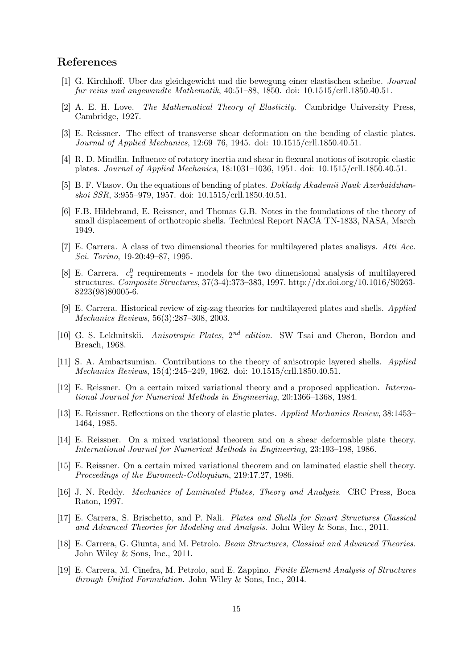## References

- [1] G. Kirchhoff. Uber das gleichgewicht und die bewegung einer elastischen scheibe. Journal fur reins und angewandte Mathematik, 40:51–88, 1850. doi: 10.1515/crll.1850.40.51.
- [2] A. E. H. Love. The Mathematical Theory of Elasticity. Cambridge University Press, Cambridge, 1927.
- [3] E. Reissner. The effect of transverse shear deformation on the bending of elastic plates. Journal of Applied Mechanics, 12:69–76, 1945. doi: 10.1515/crll.1850.40.51.
- [4] R. D. Mindlin. Influence of rotatory inertia and shear in flexural motions of isotropic elastic plates. Journal of Applied Mechanics, 18:1031–1036, 1951. doi: 10.1515/crll.1850.40.51.
- [5] B. F. Vlasov. On the equations of bending of plates. Doklady Akademii Nauk Azerbaidzhanskoi SSR, 3:955–979, 1957. doi: 10.1515/crll.1850.40.51.
- [6] F.B. Hildebrand, E. Reissner, and Thomas G.B. Notes in the foundations of the theory of small displacement of orthotropic shells. Technical Report NACA TN-1833, NASA, March 1949.
- [7] E. Carrera. A class of two dimensional theories for multilayered plates analisys. Atti Acc. Sci. Torino, 19-20:49–87, 1995.
- [8] E. Carrera.  $c_z^0$  requirements models for the two dimensional analysis of multilayered structures. Composite Structures, 37(3-4):373–383, 1997. http://dx.doi.org/10.1016/S0263- 8223(98)80005-6.
- [9] E. Carrera. Historical review of zig-zag theories for multilayered plates and shells. Applied Mechanics Reviews, 56(3):287–308, 2003.
- [10] G. S. Lekhnitskii. Anisotropic Plates,  $2^{nd}$  edition. SW Tsai and Cheron, Bordon and Breach, 1968.
- [11] S. A. Ambartsumian. Contributions to the theory of anisotropic layered shells. Applied Mechanics Reviews, 15(4):245–249, 1962. doi: 10.1515/crll.1850.40.51.
- [12] E. Reissner. On a certain mixed variational theory and a proposed application. International Journal for Numerical Methods in Engineering, 20:1366–1368, 1984.
- [13] E. Reissner. Reflections on the theory of elastic plates. Applied Mechanics Review, 38:1453– 1464, 1985.
- [14] E. Reissner. On a mixed variational theorem and on a shear deformable plate theory. International Journal for Numerical Methods in Engineering, 23:193–198, 1986.
- [15] E. Reissner. On a certain mixed variational theorem and on laminated elastic shell theory. Proceedings of the Euromech-Colloquium, 219:17.27, 1986.
- [16] J. N. Reddy. Mechanics of Laminated Plates, Theory and Analysis. CRC Press, Boca Raton, 1997.
- [17] E. Carrera, S. Brischetto, and P. Nali. Plates and Shells for Smart Structures Classical and Advanced Theories for Modeling and Analysis. John Wiley & Sons, Inc., 2011.
- [18] E. Carrera, G. Giunta, and M. Petrolo. Beam Structures, Classical and Advanced Theories. John Wiley & Sons, Inc., 2011.
- [19] E. Carrera, M. Cinefra, M. Petrolo, and E. Zappino. Finite Element Analysis of Structures through Unified Formulation. John Wiley & Sons, Inc., 2014.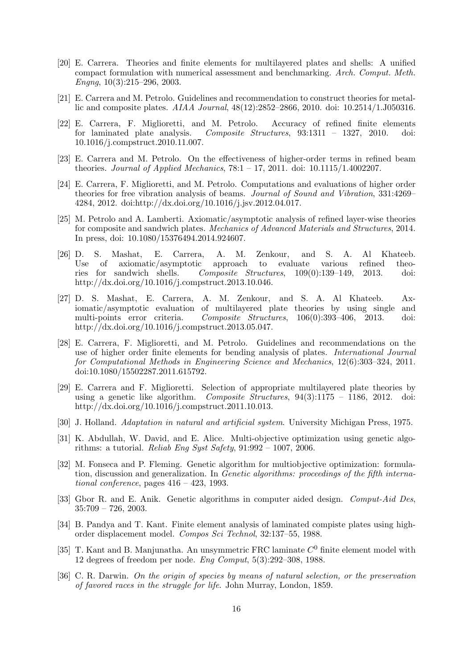- [20] E. Carrera. Theories and finite elements for multilayered plates and shells: A unified compact formulation with numerical assessment and benchmarking. Arch. Comput. Meth. Engng, 10(3):215–296, 2003.
- [21] E. Carrera and M. Petrolo. Guidelines and recommendation to construct theories for metallic and composite plates. AIAA Journal, 48(12):2852–2866, 2010. doi: 10.2514/1.J050316.
- [22] E. Carrera, F. Miglioretti, and M. Petrolo. Accuracy of refined finite elements for laminated plate analysis. Composite Structures, 93:1311 – 1327, 2010. doi: 10.1016/j.compstruct.2010.11.007.
- [23] E. Carrera and M. Petrolo. On the effectiveness of higher-order terms in refined beam theories. Journal of Applied Mechanics,  $78:1 - 17$ ,  $2011$ . doi:  $10.1115/1.4002207$ .
- [24] E. Carrera, F. Miglioretti, and M. Petrolo. Computations and evaluations of higher order theories for free vibration analysis of beams. Journal of Sound and Vibration, 331:4269– 4284, 2012. doi:http://dx.doi.org/10.1016/j.jsv.2012.04.017.
- [25] M. Petrolo and A. Lamberti. Axiomatic/asymptotic analysis of refined layer-wise theories for composite and sandwich plates. Mechanics of Advanced Materials and Structures, 2014. In press, doi: 10.1080/15376494.2014.924607.
- [26] D. S. Mashat, E. Carrera, A. M. Zenkour, and S. A. Al Khateeb. Use of axiomatic/asymptotic approach to evaluate various refined theories for sandwich shells. Composite Structures, 109(0):139–149, 2013. doi: http://dx.doi.org/10.1016/j.compstruct.2013.10.046.
- [27] D. S. Mashat, E. Carrera, A. M. Zenkour, and S. A. Al Khateeb. Axiomatic/asymptotic evaluation of multilayered plate theories by using single and multi-points error criteria. Composite Structures, 106(0):393–406, 2013. doi: http://dx.doi.org/10.1016/j.compstruct.2013.05.047.
- [28] E. Carrera, F. Miglioretti, and M. Petrolo. Guidelines and recommendations on the use of higher order finite elements for bending analysis of plates. International Journal for Computational Methods in Engineering Science and Mechanics, 12(6):303–324, 2011. doi:10.1080/15502287.2011.615792.
- [29] E. Carrera and F. Miglioretti. Selection of appropriate multilayered plate theories by using a genetic like algorithm. Composite Structures,  $94(3):1175 - 1186$ , 2012. doi: http://dx.doi.org/10.1016/j.compstruct.2011.10.013.
- [30] J. Holland. Adaptation in natural and artificial system. University Michigan Press, 1975.
- [31] K. Abdullah, W. David, and E. Alice. Multi-objective optimization using genetic algorithms: a tutorial. *Reliab Eng Syst Safety*,  $91:992 - 1007$ , 2006.
- [32] M. Fonseca and P. Fleming. Genetic algorithm for multiobjective optimization: formulation, discussion and generalization. In Genetic algorithms: proceedings of the fifth international conference, pages  $416 - 423$ , 1993.
- [33] Gbor R. and E. Anik. Genetic algorithms in computer aided design. Comput-Aid Des, 35:709 – 726, 2003.
- [34] B. Pandya and T. Kant. Finite element analysis of laminated compiste plates using highorder displacement model. Compos Sci Technol, 32:137–55, 1988.
- [35] T. Kant and B. Manjunatha. An unsymmetric FRC laminate  $C<sup>0</sup>$  finite element model with 12 degrees of freedom per node. Eng Comput, 5(3):292–308, 1988.
- [36] C. R. Darwin. On the origin of species by means of natural selection, or the preservation of favored races in the struggle for life. John Murray, London, 1859.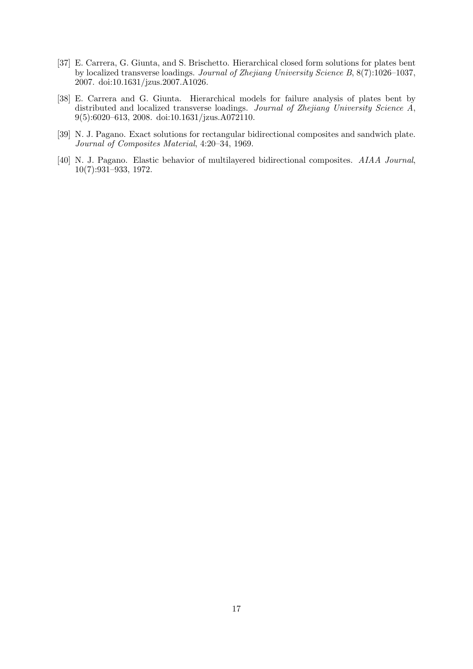- [37] E. Carrera, G. Giunta, and S. Brischetto. Hierarchical closed form solutions for plates bent by localized transverse loadings. Journal of Zhejiang University Science B, 8(7):1026–1037, 2007. doi:10.1631/jzus.2007.A1026.
- [38] E. Carrera and G. Giunta. Hierarchical models for failure analysis of plates bent by distributed and localized transverse loadings. Journal of Zhejiang University Science A, 9(5):6020–613, 2008. doi:10.1631/jzus.A072110.
- [39] N. J. Pagano. Exact solutions for rectangular bidirectional composites and sandwich plate. Journal of Composites Material, 4:20–34, 1969.
- [40] N. J. Pagano. Elastic behavior of multilayered bidirectional composites. AIAA Journal, 10(7):931–933, 1972.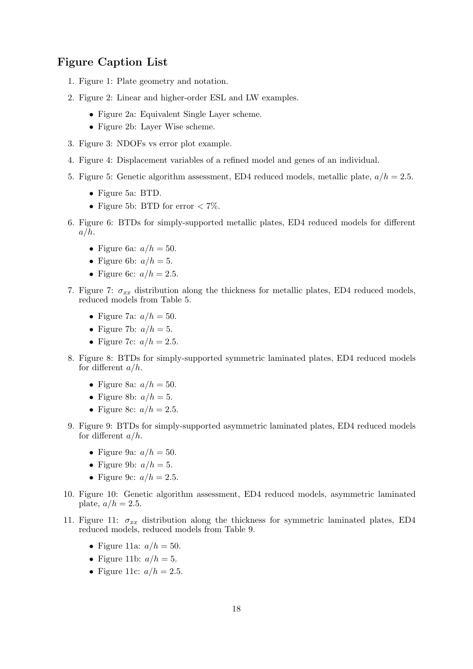## Figure Caption List

- 1. Figure 1: Plate geometry and notation.
- 2. Figure 2: Linear and higher-order ESL and LW examples.
	- Figure 2a: Equivalent Single Layer scheme.
	- Figure 2b: Layer Wise scheme.
- 3. Figure 3: NDOFs vs error plot example.
- 4. Figure 4: Displacement variables of a refined model and genes of an individual.
- 5. Figure 5: Genetic algorithm assessment, ED4 reduced models, metallic plate,  $a/h = 2.5$ .
	- Figure 5a: BTD.
	- Figure 5b: BTD for error  $< 7\%$ .
- 6. Figure 6: BTDs for simply-supported metallic plates, ED4 reduced models for different  $a/h$ .
	- Figure 6a:  $a/h = 50$ .
	- Figure 6b:  $a/h = 5$ .
	- Figure 6c:  $a/h = 2.5$ .
- 7. Figure 7:  $\sigma_{xx}$  distribution along the thickness for metallic plates, ED4 reduced models, reduced models from Table 5.
	- Figure 7a:  $a/h = 50$ .
	- Figure 7b:  $a/h = 5$ .
	- Figure 7c:  $a/h = 2.5$ .
- 8. Figure 8: BTDs for simply-supported symmetric laminated plates, ED4 reduced models for different  $a/h$ .
	- Figure 8a:  $a/h = 50$ .
	- Figure 8b:  $a/h = 5$ .
	- Figure 8c:  $a/h = 2.5$ .
- 9. Figure 9: BTDs for simply-supported asymmetric laminated plates, ED4 reduced models for different  $a/h$ .
	- Figure 9a:  $a/h = 50$ .
	- Figure 9b:  $a/h = 5$ .
	- Figure 9c:  $a/h = 2.5$ .
- 10. Figure 10: Genetic algorithm assessment, ED4 reduced models, asymmetric laminated plate,  $a/h = 2.5$ .
- 11. Figure 11:  $\sigma_{xx}$  distribution along the thickness for symmetric laminated plates, ED4 reduced models, reduced models from Table 9.
	- Figure 11a:  $a/h = 50$ .
	- Figure 11b:  $a/h = 5$ .
	- Figure 11c:  $a/h = 2.5$ .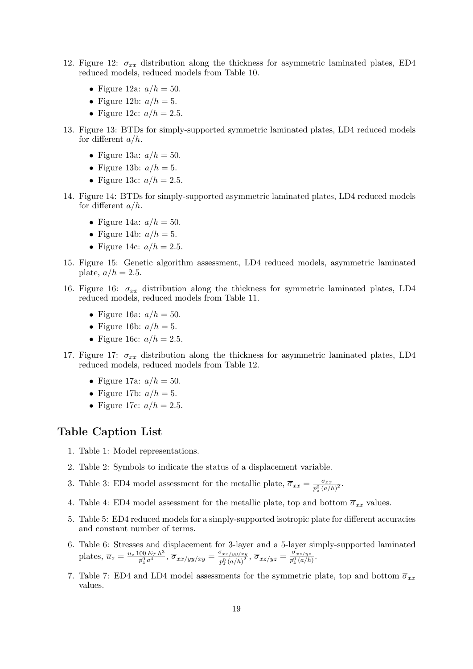- 12. Figure 12:  $\sigma_{xx}$  distribution along the thickness for asymmetric laminated plates, ED4 reduced models, reduced models from Table 10.
	- Figure 12a:  $a/h = 50$ .
	- Figure 12b:  $a/h = 5$ .
	- Figure 12c:  $a/h = 2.5$ .
- 13. Figure 13: BTDs for simply-supported symmetric laminated plates, LD4 reduced models for different  $a/h$ .
	- Figure 13a:  $a/h = 50$ .
	- Figure 13b:  $a/h = 5$ .
	- Figure 13c:  $a/h = 2.5$ .
- 14. Figure 14: BTDs for simply-supported asymmetric laminated plates, LD4 reduced models for different  $a/h$ .
	- Figure 14a:  $a/h = 50$ .
	- Figure 14b:  $a/h = 5$ .
	- Figure 14c:  $a/h = 2.5$ .
- 15. Figure 15: Genetic algorithm assessment, LD4 reduced models, asymmetric laminated plate,  $a/h = 2.5$ .
- 16. Figure 16:  $\sigma_{xx}$  distribution along the thickness for symmetric laminated plates, LD4 reduced models, reduced models from Table 11.
	- Figure 16a:  $a/h = 50$ .
	- Figure 16b:  $a/h = 5$ .
	- Figure 16c:  $a/h = 2.5$ .
- 17. Figure 17:  $\sigma_{xx}$  distribution along the thickness for asymmetric laminated plates, LD4 reduced models, reduced models from Table 12.
	- Figure 17a:  $a/h = 50$ .
	- Figure 17b:  $a/h = 5$ .
	- Figure 17c:  $a/h = 2.5$ .

### Table Caption List

- 1. Table 1: Model representations.
- 2. Table 2: Symbols to indicate the status of a displacement variable.
- 3. Table 3: ED4 model assessment for the metallic plate,  $\overline{\sigma}_{xx} = \frac{\sigma_{xx}}{n_0 G}$  $\frac{\sigma_{xx}}{p_z^0\left(a/h\right)^2}$ .
- 4. Table 4: ED4 model assessment for the metallic plate, top and bottom  $\overline{\sigma}_{xx}$  values.
- 5. Table 5: ED4 reduced models for a simply-supported isotropic plate for different accuracies and constant number of terms.
- 6. Table 6: Stresses and displacement for 3-layer and a 5-layer simply-supported laminated plates,  $\overline{u}_z = \frac{u_z \, 100 \, E_T \, h^3}{n^0 \, a^4}$  $\frac{00\,E_T\,h^3}{p_z^0\,a^4},\,\overline{\sigma}_{xx/yy/xy}=\frac{\sigma_{xx/yy/xy}}{p_z^0\,(a/h)^2}$  $\frac{\sigma_{xx/yy/xy}}{p_z^0\left(a/h\right)^2},\,\overline{\sigma}_{xz/yz}=\frac{\sigma_{xz/yz}}{p_z^0\left(a/h\right)^2}$  $\frac{\sigma_{xz/yz}}{p_z^0(a/h)}$ .
- 7. Table 7: ED4 and LD4 model assessments for the symmetric plate, top and bottom  $\overline{\sigma}_{xx}$ values.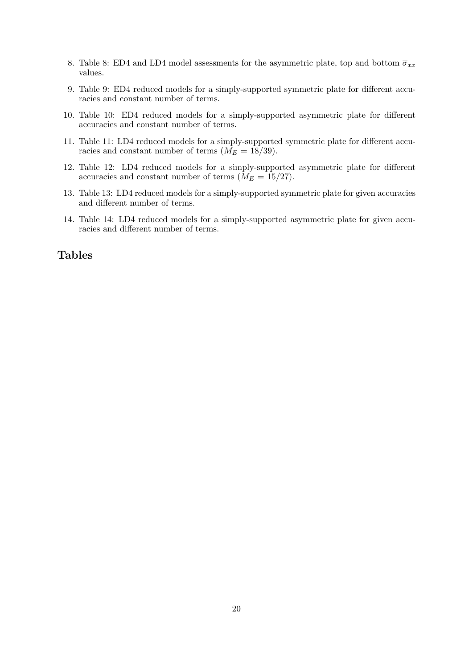- 8. Table 8: ED4 and LD4 model assessments for the asymmetric plate, top and bottom  $\overline{\sigma}_{xx}$ values.
- 9. Table 9: ED4 reduced models for a simply-supported symmetric plate for different accuracies and constant number of terms.
- 10. Table 10: ED4 reduced models for a simply-supported asymmetric plate for different accuracies and constant number of terms.
- 11. Table 11: LD4 reduced models for a simply-supported symmetric plate for different accuracies and constant number of terms  $(M_E = 18/39)$ .
- 12. Table 12: LD4 reduced models for a simply-supported asymmetric plate for different accuracies and constant number of terms  $(M_E = 15/27)$ .
- 13. Table 13: LD4 reduced models for a simply-supported symmetric plate for given accuracies and different number of terms.
- 14. Table 14: LD4 reduced models for a simply-supported asymmetric plate for given accuracies and different number of terms.

## Tables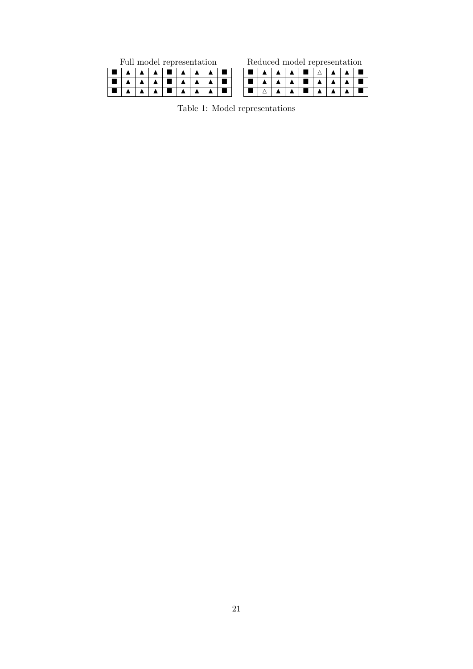| Full model representation |  |  |  |  |  |  | Reduced model representation |  |  |
|---------------------------|--|--|--|--|--|--|------------------------------|--|--|
|                           |  |  |  |  |  |  |                              |  |  |
|                           |  |  |  |  |  |  |                              |  |  |
|                           |  |  |  |  |  |  |                              |  |  |

Table 1: Model representations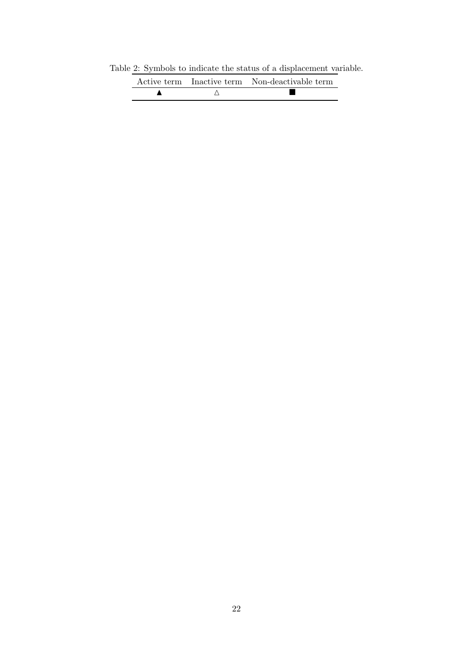Table 2: Symbols to indicate the status of a displacement variable.

|  | Active term Inactive term Non-deactivable term |
|--|------------------------------------------------|
|  |                                                |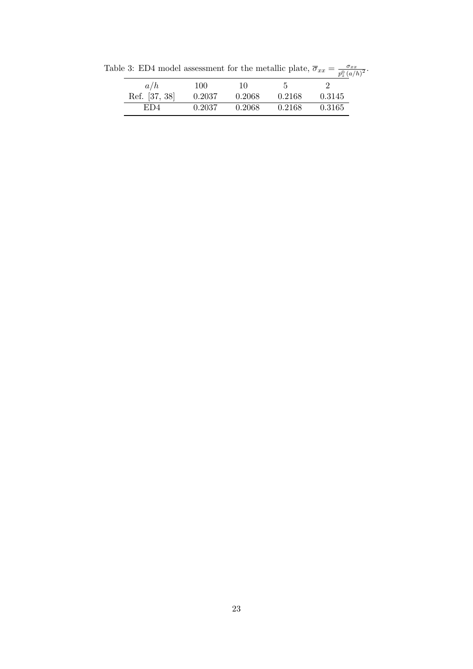|               |        |        |        | $p_{\tilde{z}}(u)$ |
|---------------|--------|--------|--------|--------------------|
| a/h           | 100    | 10     |        |                    |
| Ref. [37, 38] | 0.2037 | 0.2068 | 0.2168 | 0.3145             |
| ED4           | 0.2037 | 0.2068 | 0.2168 | 0.3165             |

Table 3: ED4 model assessment for the metallic plate,  $\overline{\sigma}_{xx} = \frac{\sigma_{xx}}{nQ}$  $\frac{\sigma_{xx}}{p_z^0\left(a/h\right)^2}$ .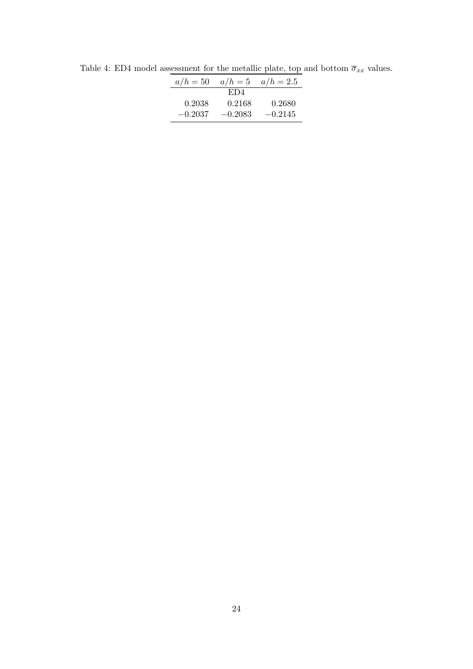| $a/h = 50$ | $a/h=5$   | $a/h = 2.5$ |
|------------|-----------|-------------|
|            | ED4       |             |
| 0.2038     | 0.2168    | 0.2680      |
| $-0.2037$  | $-0.2083$ | $-0.2145$   |

Table 4: ED4 model assessment for the metallic plate, top and bottom  $\overline{\sigma}_{xx}$  values.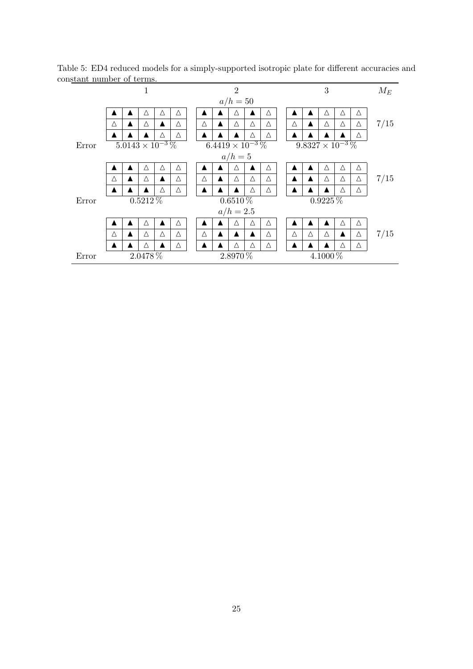| beame mannocr or ecrime. |   |   |            |                           |   |                  |   |                           |   |   |  |   |          |                           |                  |                  |       |
|--------------------------|---|---|------------|---------------------------|---|------------------|---|---------------------------|---|---|--|---|----------|---------------------------|------------------|------------------|-------|
|                          |   |   | 1          |                           |   |                  |   | $\overline{2}$            |   |   |  |   |          | 3                         |                  |                  | $M_E$ |
|                          |   |   |            |                           |   |                  |   | $a/h = 50$                |   |   |  |   |          |                           |                  |                  |       |
|                          |   |   | Δ          | Δ                         | Δ |                  |   | Δ                         |   | Δ |  |   |          | Δ                         | Δ                | Δ                |       |
|                          | Δ | ▲ | Δ          | $\blacktriangle$          | Δ | Δ                | ▲ | Δ                         | Δ | Δ |  | Δ | ▲        | Δ                         | Δ                | Δ                | 7/15  |
|                          |   |   |            | Δ                         | Δ |                  |   |                           | Δ | Δ |  |   |          |                           |                  | Δ                |       |
| Error                    |   |   |            | $5.0143\times10^{-3}\,\%$ |   |                  |   | $6.4419 \times 10^{-3}$ % |   |   |  |   |          | $9.8327 \times 10^{-3}$ % |                  |                  |       |
|                          |   |   |            |                           |   |                  |   | $a/h=5$                   |   |   |  |   |          |                           |                  |                  |       |
|                          |   |   | Λ          | Δ                         | Δ |                  |   | Δ                         |   | Δ |  |   |          | Δ                         | Δ                | Δ                |       |
|                          | Δ |   | Δ          | ▲                         | Δ | Δ                | ▲ | Δ                         | Δ | Δ |  |   | ▲        | Δ                         | Δ                | Δ                | 7/15  |
|                          |   |   |            | Δ                         | Δ |                  |   |                           | Δ | Δ |  |   |          |                           | Δ                | $\bigtriangleup$ |       |
| Error                    |   |   | $0.5212\%$ |                           |   |                  |   | $0.6510\,\%$              |   |   |  |   |          | $0.9225\%$                |                  |                  |       |
|                          |   |   |            |                           |   |                  |   | $a/h = 2.5$               |   |   |  |   |          |                           |                  |                  |       |
|                          |   |   | Δ          |                           | Δ | ▲                |   | Λ                         | Δ | Δ |  |   |          |                           | Δ                | Δ                |       |
|                          | Δ |   | Δ          | Δ                         | Δ | Δ                | ▲ |                           |   | Δ |  | Δ | Δ        | Δ                         | $\blacktriangle$ | Δ                | 7/15  |
|                          |   |   | Δ          |                           | Δ | $\blacktriangle$ |   | Δ                         | Δ | Δ |  |   |          |                           | Δ                | Δ                |       |
| Error                    |   |   | 2.0478 %   |                           |   | 2.8970 %         |   |                           |   |   |  |   | 4.1000 % |                           |                  |                  |       |

Table 5: ED4 reduced models for a simply-supported isotropic plate for different accuracies and constant number of terms.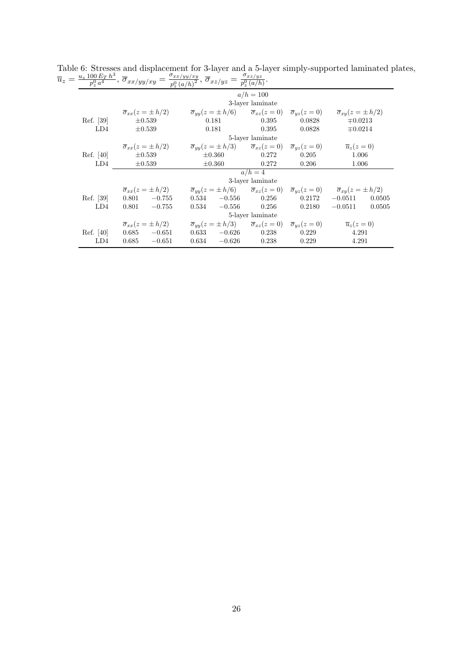|           | $z = \frac{u_z \, 100 \, E_T \, h^3}{p_z^0 \, a^4}, \, \overline{\sigma}_{xx/yy/xy} = \frac{\sigma_{xx/yy/xy}}{p_z^0 \, (a/h)^2}, \, \overline{\sigma}_{xz/yz} = \frac{\sigma_{xz/yz}}{p_z^0 \, (a/h)}.$ |                                                                                                                                                                                                     |                  |        |                     |
|-----------|----------------------------------------------------------------------------------------------------------------------------------------------------------------------------------------------------------|-----------------------------------------------------------------------------------------------------------------------------------------------------------------------------------------------------|------------------|--------|---------------------|
|           |                                                                                                                                                                                                          |                                                                                                                                                                                                     | $a/h = 100$      |        |                     |
|           |                                                                                                                                                                                                          |                                                                                                                                                                                                     | 3-layer laminate |        |                     |
|           |                                                                                                                                                                                                          | $\overline{\sigma}_{xx}(z=\pm h/2)$ $\overline{\sigma}_{yy}(z=\pm h/6)$ $\overline{\sigma}_{xz}(z=0)$ $\overline{\sigma}_{yz}(z=0)$ $\overline{\sigma}_{xy}(z=\pm h/2)$                             |                  |        |                     |
| Ref. [39] | $\pm 0.539$                                                                                                                                                                                              | 0.181                                                                                                                                                                                               | 0.395            | 0.0828 | $\mp 0.0213$        |
| LD4       | $\pm 0.539$                                                                                                                                                                                              | 0.181                                                                                                                                                                                               | 0.395            | 0.0828 | $\mp 0.0214$        |
|           |                                                                                                                                                                                                          |                                                                                                                                                                                                     | 5-layer laminate |        |                     |
|           |                                                                                                                                                                                                          | $\overline{\sigma}_{xx}(z=\pm h/2)$ $\qquad \overline{\sigma}_{yy}(z=\pm h/3)$ $\qquad \overline{\sigma}_{xz}(z=0)$ $\qquad \overline{\sigma}_{yz}(z=0)$ $\qquad \overline{u}_z(z=0)$               |                  |        |                     |
| Ref. [40] | $\pm 0.539$                                                                                                                                                                                              | $\pm 0.360$                                                                                                                                                                                         | 0.272            | 0.205  | 1.006               |
| LD4       | $\pm 0.539$                                                                                                                                                                                              | $\pm 0.360$                                                                                                                                                                                         | 0.272            | 0.206  | 1.006               |
|           |                                                                                                                                                                                                          |                                                                                                                                                                                                     | $a/h=4$          |        |                     |
|           |                                                                                                                                                                                                          |                                                                                                                                                                                                     | 3-layer laminate |        |                     |
|           |                                                                                                                                                                                                          | $\overline{\sigma}_{xx}(z=\pm h/2)$ $\qquad \overline{\sigma}_{yy}(z=\pm h/6)$ $\qquad \overline{\sigma}_{xz}(z=0)$ $\qquad \overline{\sigma}_{yz}(z=0)$ $\qquad \overline{\sigma}_{xy}(z=\pm h/2)$ |                  |        |                     |
| Ref. [39] | $0.801 -0.755$                                                                                                                                                                                           | $0.534 -0.556$                                                                                                                                                                                      | $\,0.256\,$      | 0.2172 | $-0.0511$<br>0.0505 |
| LD4       | $-0.755$<br>0.801                                                                                                                                                                                        | $0.534 -0.556$                                                                                                                                                                                      | 0.256            | 0.2180 | $-0.0511$<br>0.0505 |
|           |                                                                                                                                                                                                          |                                                                                                                                                                                                     | 5-layer laminate |        |                     |
|           |                                                                                                                                                                                                          | $\overline{\sigma}_{xx}(z=\pm h/2)$ $\qquad \overline{\sigma}_{yy}(z=\pm h/3)$ $\qquad \overline{\sigma}_{xz}(z=0)$ $\qquad \overline{\sigma}_{yz}(z=0)$ $\qquad \overline{u}_z(z=0)$               |                  |        |                     |
|           | Ref. [40] $0.685 -0.651$                                                                                                                                                                                 | $0.633 -0.626$                                                                                                                                                                                      | 0.238            | 0.229  | 4.291               |
| LD4       | $-0.651$<br>0.685                                                                                                                                                                                        | $0.634 -0.626$                                                                                                                                                                                      | 0.238            | 0.229  | 4.291               |

Table 6: Stresses and displacement for 3-layer and a 5-layer simply-supported laminated plates,  $\overline{u}_z = \frac{u_z\,100\,E_T\,h^3}{p^0\,a^4}$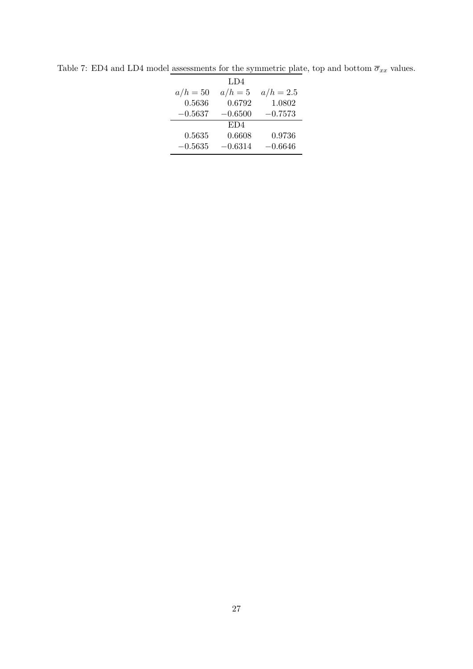|            | LD4       |             |
|------------|-----------|-------------|
| $a/h = 50$ | $a/h=5$   | $a/h = 2.5$ |
| 0.5636     | 0.6792    | 1.0802      |
| $-0.5637$  | $-0.6500$ | $-0.7573$   |
|            | ED4       |             |
| 0.5635     | 0.6608    | 0.9736      |
| $-0.5635$  | $-0.6314$ | $-0.6646$   |

Table 7: ED4 and LD4 model assessments for the symmetric plate, top and bottom  $\overline{\sigma}_{xx}$  values.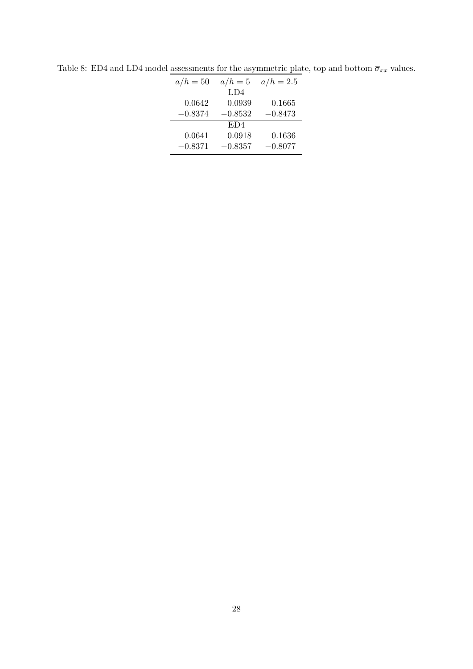| $a/h = 50$ | $a/h=5$   | $a/h = 2.5$ |
|------------|-----------|-------------|
|            | LD4       |             |
| 0.0642     | 0.0939    | 0.1665      |
| $-0.8374$  | $-0.8532$ | $-0.8473$   |
|            | ED4       |             |
| 0.0641     | 0.0918    | 0.1636      |
| $-0.8371$  | $-0.8357$ | $-0.8077$   |

Table 8: ED4 and LD4 model assessments for the asymmetric plate, top and bottom  $\overline{\sigma}_{xx}$  values.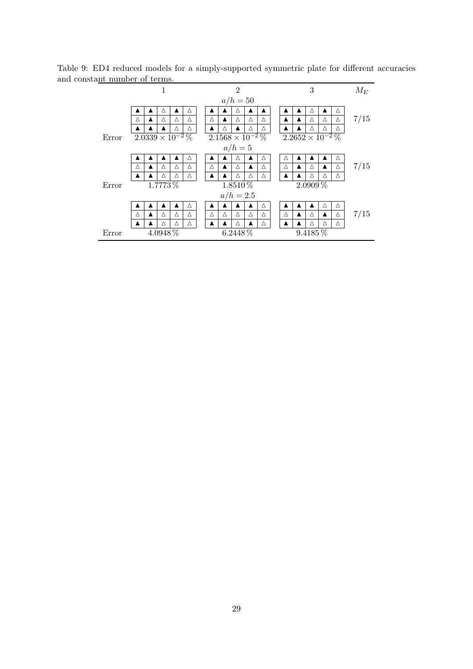| шыншын огтанды |                                      |         |   |   |   |   |   |                           |   |   |   |   |                       |                           |   |       |
|----------------|--------------------------------------|---------|---|---|---|---|---|---------------------------|---|---|---|---|-----------------------|---------------------------|---|-------|
|                |                                      |         | 1 |   |   |   |   | $\overline{2}$            |   |   |   |   | 3                     |                           |   | $M_E$ |
|                |                                      |         |   |   |   |   |   | $a/h = 50$                |   |   |   |   |                       |                           |   |       |
|                |                                      |         | Δ |   | Δ |   |   | Δ                         |   |   |   |   | Δ                     |                           | Δ |       |
|                | Δ                                    | ▲       | Δ | Δ | Δ | Δ | ▲ | Δ                         | Δ | Δ |   | ▲ | $\Delta$              | Δ                         | Δ | 7/15  |
|                |                                      |         |   | Δ | Δ |   | Δ | $\blacktriangle$          | Δ | Δ |   |   | Δ                     | Δ                         | Δ |       |
| Error          | $2.\overline{0339\times10^{-2}\,\%}$ |         |   |   |   |   |   | $2.1568\times10^{-2}\,\%$ |   |   |   |   |                       | $2.2652 \times 10^{-2}$ % |   |       |
|                |                                      |         |   |   |   |   |   | $a/h=5$                   |   |   |   |   |                       |                           |   |       |
|                |                                      |         |   |   | Δ |   |   | Δ                         |   | Δ | Δ |   |                       |                           | Δ |       |
|                | Δ                                    |         | Δ | Δ | Δ | Δ | ▲ | Δ                         |   | Δ | Δ |   | Δ                     |                           | Δ | 7/15  |
|                |                                      |         | Δ | Δ | Δ |   |   | Δ                         | Δ | Δ |   |   | Δ                     | Δ                         | Δ |       |
| Error          |                                      | 1.7773% |   |   |   |   |   | 1.8510 %                  |   |   |   |   | $2.09\overline{09\%}$ |                           |   |       |
|                |                                      |         |   |   |   |   |   | $a/h = 2.5$               |   |   |   |   |                       |                           |   |       |
|                |                                      |         |   |   | Δ |   |   |                           |   | Δ |   |   |                       | Δ                         | Δ |       |
|                | Δ                                    |         | Δ | Δ | Δ | Δ | Δ | Δ                         | Δ | Δ | Δ | ▲ | Δ                     | ▲                         | Δ | 7/15  |
|                |                                      |         | Δ | Δ | Δ |   |   | Δ                         |   | Δ |   |   | Δ                     | Δ                         | Δ |       |
| Error          |                                      | 4.0948% |   |   |   |   |   | 6.2448 %                  |   |   |   |   | 9.4185 %              |                           |   |       |

Table 9: ED4 reduced models for a simply-supported symmetric plate for different accuracies and constant number of terms.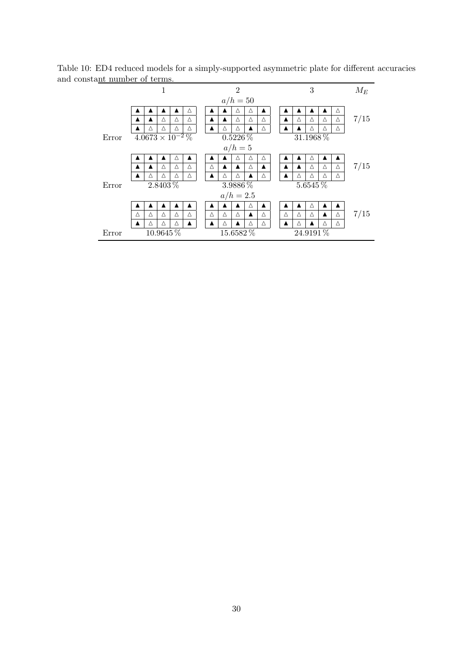| янь пинноег ог сегниз. |   |                                   |               |   |   |   |   |                |   |   |   |   |             |   |   |       |
|------------------------|---|-----------------------------------|---------------|---|---|---|---|----------------|---|---|---|---|-------------|---|---|-------|
|                        |   |                                   | 1             |   |   |   |   | $\overline{2}$ |   |   |   |   | 3           |   |   | $M_E$ |
|                        |   |                                   |               |   |   |   |   | $a/h = 50$     |   |   |   |   |             |   |   |       |
|                        |   |                                   |               |   | Δ |   |   | Δ              | Δ |   |   |   |             |   | Δ |       |
|                        |   | ▲                                 | Δ             | Δ | Δ | ▲ | ▲ | Δ              | Δ | Δ | ▲ | Δ | Δ           | Δ | Δ | 7/15  |
|                        |   | Δ                                 | Δ             | Δ | Δ |   | Δ | Δ              |   | Δ |   |   | Δ           | Δ | Δ |       |
| Error                  |   | $\sqrt{4.0673 \times 10^{-2} \%}$ |               |   |   |   |   | $0.5226\,\%$   |   |   |   |   | 31.1968 %   |   |   |       |
|                        |   |                                   |               |   |   |   |   | $a/h=5$        |   |   |   |   |             |   |   |       |
|                        |   |                                   | ▴             | Δ | ▴ | ▲ |   | Δ              | Δ | Δ |   |   | Δ           |   |   |       |
|                        |   | ▲                                 | Δ             | Δ | Δ | Δ |   | ▲              | Δ | ▲ |   |   | Δ           | Δ | Δ | 7/15  |
|                        |   | Δ                                 | Δ             | Δ | Δ |   | Δ | Δ              |   | Δ |   | Δ | $\triangle$ | Δ | Δ |       |
| Error                  |   |                                   | 2.8403 %      |   |   |   |   | $3.9886\,\%$   |   |   |   |   | 5.6545 %    |   |   |       |
|                        |   |                                   |               |   |   |   |   | $a/h = 2.5$    |   |   |   |   |             |   |   |       |
|                        |   |                                   |               |   |   |   |   |                | Δ |   |   |   | Δ           |   |   |       |
|                        | Δ | Δ                                 | Δ             | Δ | Δ | Δ | Δ | Δ              | ▲ | Δ | Δ | Δ | Δ           | ▲ | Δ | 7/15  |
|                        |   | Δ                                 | Δ             | Δ | ▲ |   | Δ | ▲              | Δ | Δ |   | Δ |             | Δ | Δ |       |
| Error                  |   |                                   | $10.9645\,\%$ |   |   |   |   | 15.6582%       |   |   |   |   | 24.9191%    |   |   |       |

Table 10: ED4 reduced models for a simply-supported asymmetric plate for different accuracies and constant number of terms.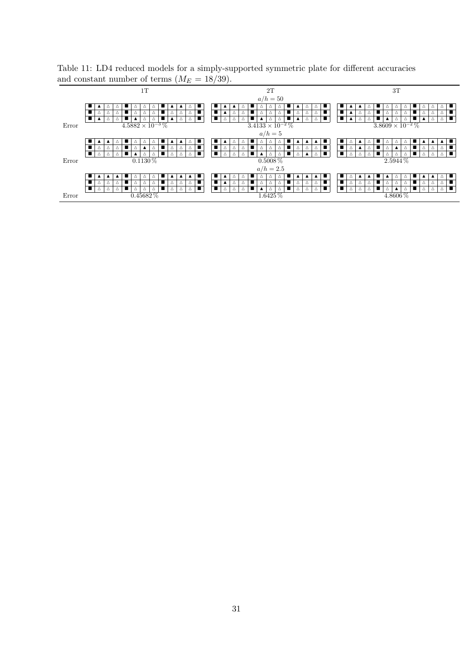Table 11: LD4 reduced models for a simply-supported symmetric plate for different accuracies and constant number of terms  $(M_E = 18/39)$ .

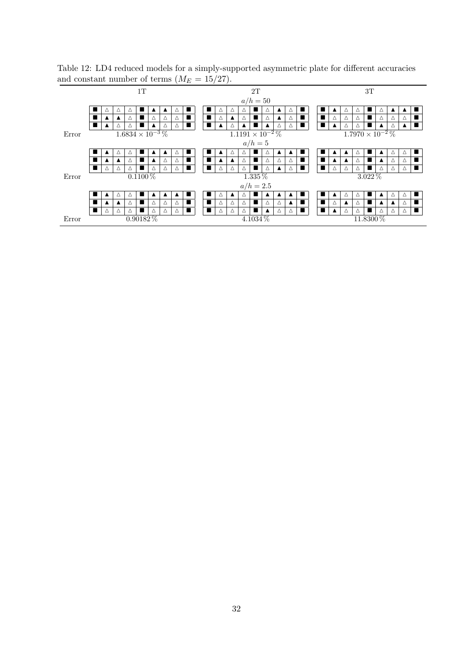| and constant number of terms $(WE = 10/21)$ . |   |          |                  |                           |                |               |             |             |                |                           |                  |             |          |             |                  |                  |                  |                           |                                                               |                  |                  |             |                |             |                  |          |                |
|-----------------------------------------------|---|----------|------------------|---------------------------|----------------|---------------|-------------|-------------|----------------|---------------------------|------------------|-------------|----------|-------------|------------------|------------------|------------------|---------------------------|---------------------------------------------------------------|------------------|------------------|-------------|----------------|-------------|------------------|----------|----------------|
|                                               |   |          |                  |                           | 1T             |               |             |             |                |                           |                  |             |          | 2T          |                  |                  |                  |                           |                                                               |                  |                  |             | 3T             |             |                  |          |                |
|                                               |   |          |                  |                           |                |               |             |             |                |                           |                  |             |          | $a/h = 50$  |                  |                  |                  |                           |                                                               |                  |                  |             |                |             |                  |          |                |
|                                               |   |          |                  | Δ                         |                |               |             |             |                |                           |                  |             |          |             |                  |                  |                  |                           |                                                               |                  |                  |             |                |             |                  |          |                |
|                                               | ш |          |                  | Δ                         |                | Δ             | Δ           | Δ           | H.             | $\blacksquare$            | Δ                |             | Δ        |             |                  | $\blacktriangle$ | Δ                | $\blacksquare$            |                                                               | Δ                | Δ                | Δ           |                |             | Δ                | Δ        |                |
|                                               |   | ▲        | Δ                | Δ                         | $\blacksquare$ |               | Δ           | Δ           | $\blacksquare$ |                           | $\blacktriangle$ |             |          |             |                  | Δ                | Δ                |                           | $\blacksquare$<br>Δ<br>Δ<br>Δ<br>▲                            |                  |                  |             |                |             |                  |          |                |
| Error                                         |   |          |                  | $1.6834 \times 10^{-3}$ % |                |               |             |             |                | $1.1191 \times 10^{-2}$ % |                  |             |          |             |                  |                  |                  | $1.7970 \times 10^{-2}$ % |                                                               |                  |                  |             |                |             |                  |          |                |
|                                               |   |          |                  |                           |                |               |             |             |                |                           |                  |             |          | $a/h=5$     |                  |                  |                  |                           |                                                               |                  |                  |             |                |             |                  |          |                |
|                                               |   |          | $\wedge$         | Δ                         |                |               |             |             | . .            |                           |                  | Δ           |          |             |                  |                  |                  |                           |                                                               |                  |                  | Δ           |                |             | Δ                | Δ        |                |
|                                               |   |          |                  | Δ                         |                |               | Δ           | Δ           | $\blacksquare$ | $\blacksquare$            | $\blacktriangle$ |             | Δ        |             | Δ                | Δ                | Δ                | ■                         |                                                               | ▲                | $\blacktriangle$ | Δ           |                |             | Δ                | Δ        | $\blacksquare$ |
|                                               |   | Δ        | $\Delta$         | Δ                         | $\blacksquare$ | Δ             | Δ           | $\triangle$ | $\blacksquare$ | a ka                      | Δ                | $\triangle$ | Δ        |             |                  | $\blacktriangle$ | Δ                |                           | $\blacksquare$<br>$\triangle$<br>Δ<br>Δ<br>Δ<br>Δ<br>$\Delta$ |                  |                  |             |                |             |                  |          |                |
| Error                                         |   |          |                  |                           | $0.1100\,\%$   |               |             |             |                |                           |                  |             |          | 1.335 %     |                  |                  |                  |                           |                                                               |                  |                  |             | $3.022\%$      |             |                  |          |                |
|                                               |   |          |                  |                           |                |               |             |             |                |                           |                  |             |          | $a/h = 2.5$ |                  |                  |                  |                           |                                                               |                  |                  |             |                |             |                  |          |                |
|                                               |   |          | Δ                | Δ                         |                |               |             | ▲           |                |                           | Δ                |             |          |             |                  |                  |                  |                           |                                                               |                  | Δ                | Δ           |                |             | Δ                | Δ        |                |
|                                               |   |          | $\blacktriangle$ | Δ                         | п              | Δ             | Δ           | Δ           | $\blacksquare$ | $\blacksquare$            | Δ                | $\triangle$ | Δ        |             | Δ                | Δ                | $\blacktriangle$ |                           |                                                               | Δ                | $\blacktriangle$ | Δ           |                |             | $\blacktriangle$ | Δ        | п              |
|                                               | ٠ | $\wedge$ | $\wedge$         | $\triangle$               | $\blacksquare$ | $\Delta$      | $\triangle$ | $\wedge$    | $\blacksquare$ | $\blacksquare$            | $\triangle$      | $\wedge$    | $\wedge$ |             | $\blacktriangle$ | $\triangle$      | $\wedge$         |                           |                                                               | $\blacktriangle$ | $\wedge$         | $\triangle$ | $\blacksquare$ | $\triangle$ | $\Delta$         | $\wedge$ | $\blacksquare$ |
| Error                                         |   |          |                  |                           |                | $0.90182\,\%$ |             |             |                |                           |                  |             |          | 4.1034 %    |                  |                  |                  |                           |                                                               |                  |                  |             |                | 11.8300 %   |                  |          |                |

Table 12: LD4 reduced models for a simply-supported asymmetric plate for different accuracies and constant number of terms  $(M_E = 15/27)$ .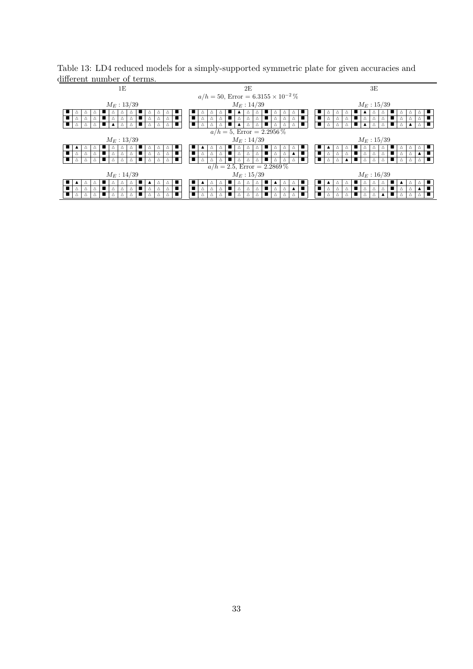| uпerent number of terms.                                                          |                                                                                                |                                                                    |  |  |  |  |  |  |  |  |  |  |  |  |
|-----------------------------------------------------------------------------------|------------------------------------------------------------------------------------------------|--------------------------------------------------------------------|--|--|--|--|--|--|--|--|--|--|--|--|
| 1E                                                                                | 2E                                                                                             | 3E                                                                 |  |  |  |  |  |  |  |  |  |  |  |  |
|                                                                                   | $a/h = 50$ , Error = 6.3155 × 10 <sup>-2</sup> %                                               |                                                                    |  |  |  |  |  |  |  |  |  |  |  |  |
| $M_E: 13/39$                                                                      | $M_E: 14/39$                                                                                   | $M_E: 15/39$                                                       |  |  |  |  |  |  |  |  |  |  |  |  |
|                                                                                   |                                                                                                |                                                                    |  |  |  |  |  |  |  |  |  |  |  |  |
| т<br>$\triangle$<br>Δ<br>Δ                                                        | Δ<br>Δ<br>Δ<br>Δ                                                                               | т<br>п<br>Δ                                                        |  |  |  |  |  |  |  |  |  |  |  |  |
|                                                                                   |                                                                                                |                                                                    |  |  |  |  |  |  |  |  |  |  |  |  |
| $a/h = 5$ , Error = 2.2956 %                                                      |                                                                                                |                                                                    |  |  |  |  |  |  |  |  |  |  |  |  |
| $M_E: 13/39$                                                                      | $M_E: 14/39$                                                                                   | $M_E: 15/39$                                                       |  |  |  |  |  |  |  |  |  |  |  |  |
| Δ                                                                                 | Δ<br>△                                                                                         |                                                                    |  |  |  |  |  |  |  |  |  |  |  |  |
| п<br>$\triangle$<br>Δ<br>Δ                                                        | ■<br>Δ<br>Δ<br>Δ<br>Δ<br>Δ                                                                     | п<br>Δ<br>Δ<br>Δ                                                   |  |  |  |  |  |  |  |  |  |  |  |  |
|                                                                                   | п<br>Δ<br>Δ                                                                                    | т                                                                  |  |  |  |  |  |  |  |  |  |  |  |  |
|                                                                                   | $a/h = 2.5$ , Error = 2.2869 %                                                                 |                                                                    |  |  |  |  |  |  |  |  |  |  |  |  |
| $M_E: 14/39$                                                                      | $M_E: 15/39$                                                                                   | $M_E: 16/39$                                                       |  |  |  |  |  |  |  |  |  |  |  |  |
| Δ                                                                                 | $\blacktriangle$<br>Δ                                                                          |                                                                    |  |  |  |  |  |  |  |  |  |  |  |  |
| $\blacksquare$<br>$\blacksquare$<br>$\Delta$<br>$\Delta$<br>Δ<br>Δ<br>Δ<br>Δ<br>Δ | п<br>$\blacksquare$<br>$\triangle$<br>$\triangle$<br>Δ<br>Δ<br>Δ<br>Δ<br>Δ<br>$\blacktriangle$ | п<br>п<br>Δ<br>$\triangle$<br>$\blacktriangle$<br>Δ<br>Δ<br>Δ<br>Δ |  |  |  |  |  |  |  |  |  |  |  |  |
|                                                                                   | ■<br>Δ                                                                                         | ■                                                                  |  |  |  |  |  |  |  |  |  |  |  |  |
|                                                                                   |                                                                                                |                                                                    |  |  |  |  |  |  |  |  |  |  |  |  |

Table 13: LD4 reduced models for a simply-supported symmetric plate for given accuracies and different number of terms.